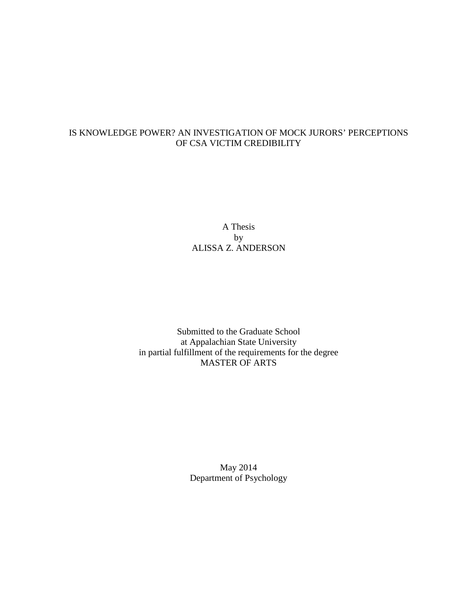# IS KNOWLEDGE POWER? AN INVESTIGATION OF MOCK JURORS' PERCEPTIONS OF CSA VICTIM CREDIBILITY

A Thesis by ALISSA Z. ANDERSON

Submitted to the Graduate School at Appalachian State University in partial fulfillment of the requirements for the degree MASTER OF ARTS

> May 2014 Department of Psychology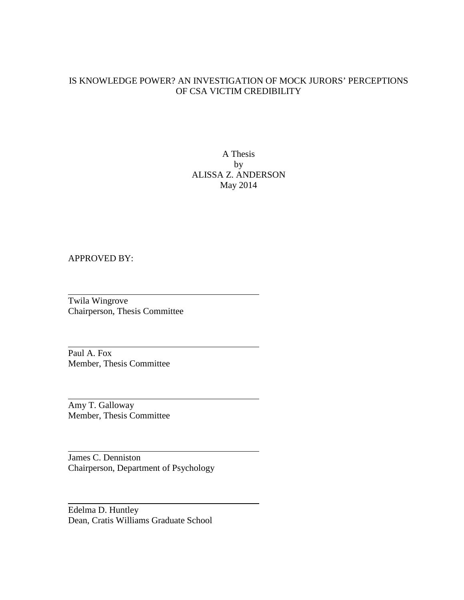## IS KNOWLEDGE POWER? AN INVESTIGATION OF MOCK JURORS' PERCEPTIONS OF CSA VICTIM CREDIBILITY

A Thesis by ALISSA Z. ANDERSON May 2014

## APPROVED BY:

Twila Wingrove Chairperson, Thesis Committee

Paul A. Fox Member, Thesis Committee

Amy T. Galloway Member, Thesis Committee

James C. Denniston Chairperson, Department of Psychology

Edelma D. Huntley Dean, Cratis Williams Graduate School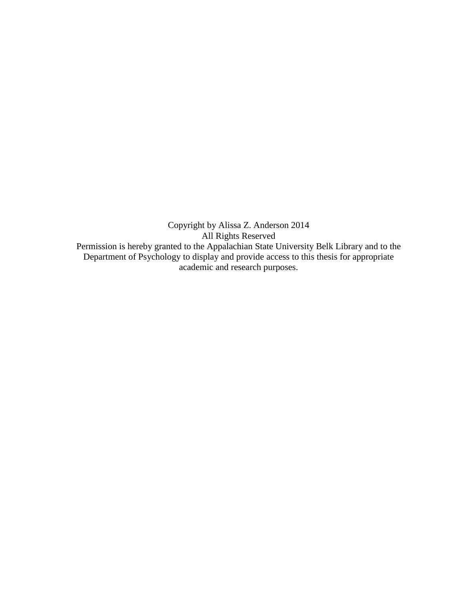Copyright by Alissa Z. Anderson 2014 All Rights Reserved Permission is hereby granted to the Appalachian State University Belk Library and to the Department of Psychology to display and provide access to this thesis for appropriate academic and research purposes.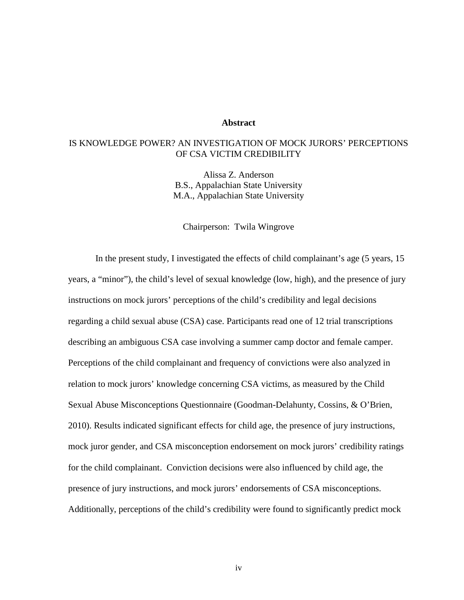#### **Abstract**

## IS KNOWLEDGE POWER? AN INVESTIGATION OF MOCK JURORS' PERCEPTIONS OF CSA VICTIM CREDIBILITY

Alissa Z. Anderson B.S., Appalachian State University M.A., Appalachian State University

Chairperson: Twila Wingrove

In the present study, I investigated the effects of child complainant's age (5 years, 15 years, a "minor"), the child's level of sexual knowledge (low, high), and the presence of jury instructions on mock jurors' perceptions of the child's credibility and legal decisions regarding a child sexual abuse (CSA) case. Participants read one of 12 trial transcriptions describing an ambiguous CSA case involving a summer camp doctor and female camper. Perceptions of the child complainant and frequency of convictions were also analyzed in relation to mock jurors' knowledge concerning CSA victims, as measured by the Child Sexual Abuse Misconceptions Questionnaire (Goodman-Delahunty, Cossins, & O'Brien, 2010). Results indicated significant effects for child age, the presence of jury instructions, mock juror gender, and CSA misconception endorsement on mock jurors' credibility ratings for the child complainant. Conviction decisions were also influenced by child age, the presence of jury instructions, and mock jurors' endorsements of CSA misconceptions. Additionally, perceptions of the child's credibility were found to significantly predict mock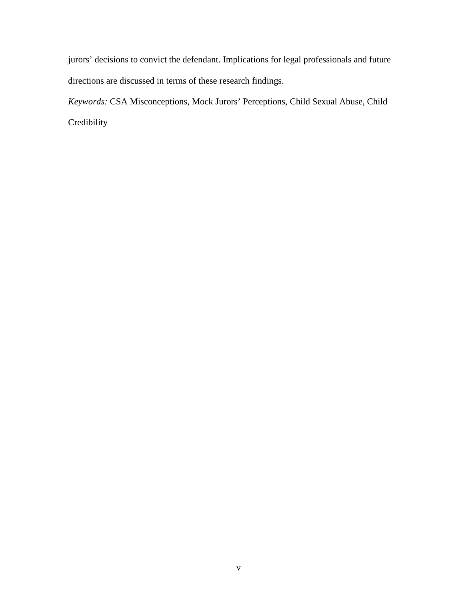jurors' decisions to convict the defendant. Implications for legal professionals and future directions are discussed in terms of these research findings.

*Keywords:* CSA Misconceptions, Mock Jurors' Perceptions, Child Sexual Abuse, Child Credibility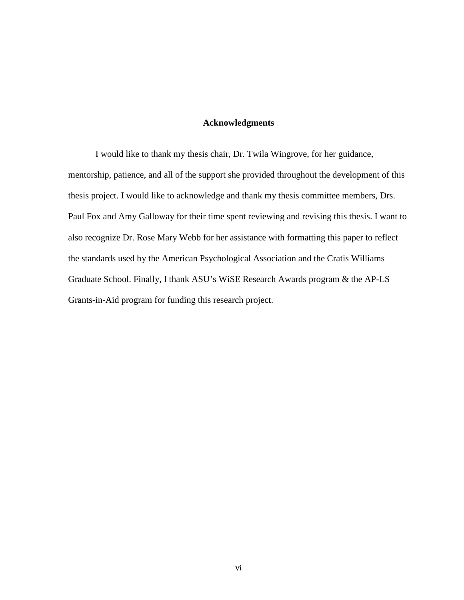## **Acknowledgments**

I would like to thank my thesis chair, Dr. Twila Wingrove, for her guidance, mentorship, patience, and all of the support she provided throughout the development of this thesis project. I would like to acknowledge and thank my thesis committee members, Drs. Paul Fox and Amy Galloway for their time spent reviewing and revising this thesis. I want to also recognize Dr. Rose Mary Webb for her assistance with formatting this paper to reflect the standards used by the American Psychological Association and the Cratis Williams Graduate School. Finally, I thank ASU's WiSE Research Awards program & the AP-LS Grants-in-Aid program for funding this research project.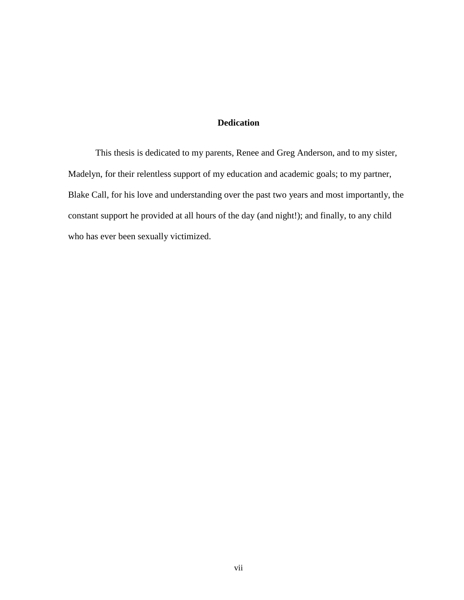## **Dedication**

This thesis is dedicated to my parents, Renee and Greg Anderson, and to my sister, Madelyn, for their relentless support of my education and academic goals; to my partner, Blake Call, for his love and understanding over the past two years and most importantly, the constant support he provided at all hours of the day (and night!); and finally, to any child who has ever been sexually victimized.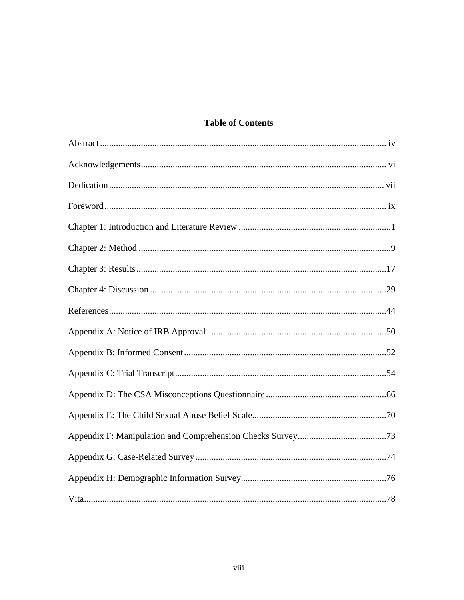# **Table of Contents**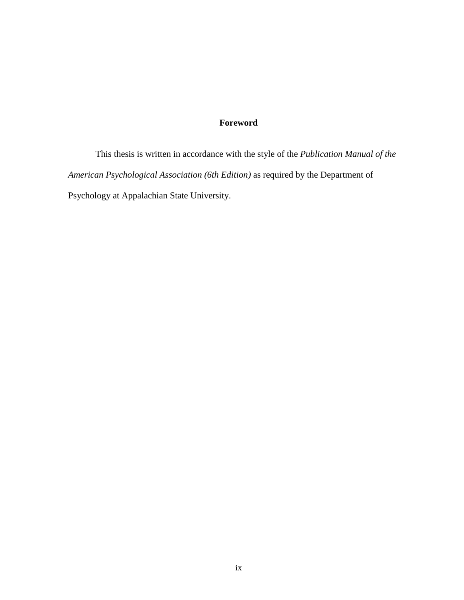# **Foreword**

This thesis is written in accordance with the style of the *Publication Manual of the American Psychological Association (6th Edition)* as required by the Department of Psychology at Appalachian State University.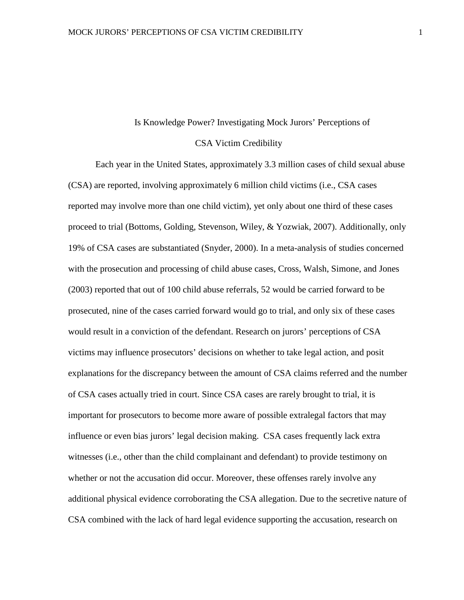#### Is Knowledge Power? Investigating Mock Jurors' Perceptions of

#### CSA Victim Credibility

Each year in the United States, approximately 3.3 million cases of child sexual abuse (CSA) are reported, involving approximately 6 million child victims (i.e., CSA cases reported may involve more than one child victim), yet only about one third of these cases proceed to trial (Bottoms, Golding, Stevenson, Wiley, & Yozwiak, 2007). Additionally, only 19% of CSA cases are substantiated (Snyder, 2000). In a meta-analysis of studies concerned with the prosecution and processing of child abuse cases, Cross, Walsh, Simone, and Jones (2003) reported that out of 100 child abuse referrals, 52 would be carried forward to be prosecuted, nine of the cases carried forward would go to trial, and only six of these cases would result in a conviction of the defendant. Research on jurors' perceptions of CSA victims may influence prosecutors' decisions on whether to take legal action, and posit explanations for the discrepancy between the amount of CSA claims referred and the number of CSA cases actually tried in court. Since CSA cases are rarely brought to trial, it is important for prosecutors to become more aware of possible extralegal factors that may influence or even bias jurors' legal decision making. CSA cases frequently lack extra witnesses (i.e., other than the child complainant and defendant) to provide testimony on whether or not the accusation did occur. Moreover, these offenses rarely involve any additional physical evidence corroborating the CSA allegation. Due to the secretive nature of CSA combined with the lack of hard legal evidence supporting the accusation, research on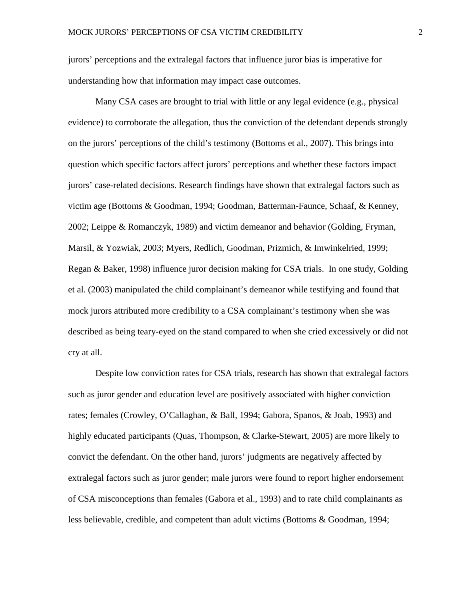jurors' perceptions and the extralegal factors that influence juror bias is imperative for understanding how that information may impact case outcomes.

Many CSA cases are brought to trial with little or any legal evidence (e.g., physical evidence) to corroborate the allegation, thus the conviction of the defendant depends strongly on the jurors' perceptions of the child's testimony (Bottoms et al., 2007). This brings into question which specific factors affect jurors' perceptions and whether these factors impact jurors' case-related decisions. Research findings have shown that extralegal factors such as victim age (Bottoms & Goodman, 1994; Goodman, Batterman-Faunce, Schaaf, & Kenney, 2002; Leippe & Romanczyk, 1989) and victim demeanor and behavior (Golding, Fryman, Marsil, & Yozwiak, 2003; Myers, Redlich, Goodman, Prizmich, & Imwinkelried, 1999; Regan & Baker, 1998) influence juror decision making for CSA trials. In one study, Golding et al. (2003) manipulated the child complainant's demeanor while testifying and found that mock jurors attributed more credibility to a CSA complainant's testimony when she was described as being teary-eyed on the stand compared to when she cried excessively or did not cry at all.

Despite low conviction rates for CSA trials, research has shown that extralegal factors such as juror gender and education level are positively associated with higher conviction rates; females (Crowley, O'Callaghan, & Ball, 1994; Gabora, Spanos, & Joab, 1993) and highly educated participants (Quas, Thompson, & Clarke-Stewart, 2005) are more likely to convict the defendant. On the other hand, jurors' judgments are negatively affected by extralegal factors such as juror gender; male jurors were found to report higher endorsement of CSA misconceptions than females (Gabora et al., 1993) and to rate child complainants as less believable, credible, and competent than adult victims (Bottoms & Goodman, 1994;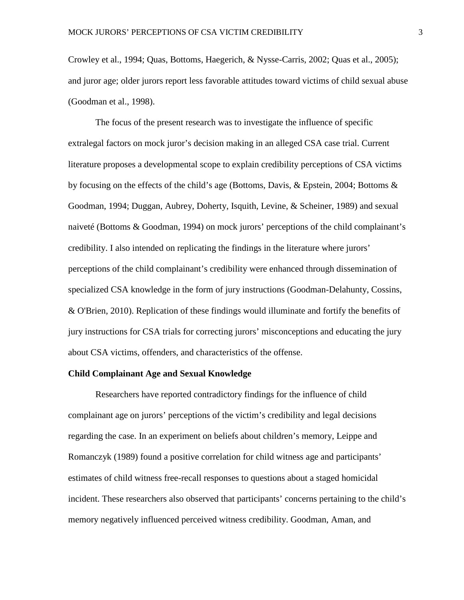Crowley et al., 1994; Quas, Bottoms, Haegerich, & Nysse-Carris, 2002; Quas et al., 2005); and juror age; older jurors report less favorable attitudes toward victims of child sexual abuse (Goodman et al., 1998).

The focus of the present research was to investigate the influence of specific extralegal factors on mock juror's decision making in an alleged CSA case trial. Current literature proposes a developmental scope to explain credibility perceptions of CSA victims by focusing on the effects of the child's age (Bottoms, Davis, & Epstein, 2004; Bottoms & Goodman, 1994; Duggan, Aubrey, Doherty, Isquith, Levine, & Scheiner, 1989) and sexual naiveté (Bottoms & Goodman, 1994) on mock jurors' perceptions of the child complainant's credibility. I also intended on replicating the findings in the literature where jurors' perceptions of the child complainant's credibility were enhanced through dissemination of specialized CSA knowledge in the form of jury instructions (Goodman-Delahunty, Cossins, & O'Brien, 2010). Replication of these findings would illuminate and fortify the benefits of jury instructions for CSA trials for correcting jurors' misconceptions and educating the jury about CSA victims, offenders, and characteristics of the offense.

#### **Child Complainant Age and Sexual Knowledge**

Researchers have reported contradictory findings for the influence of child complainant age on jurors' perceptions of the victim's credibility and legal decisions regarding the case. In an experiment on beliefs about children's memory, Leippe and Romanczyk (1989) found a positive correlation for child witness age and participants' estimates of child witness free-recall responses to questions about a staged homicidal incident. These researchers also observed that participants' concerns pertaining to the child's memory negatively influenced perceived witness credibility. Goodman, Aman, and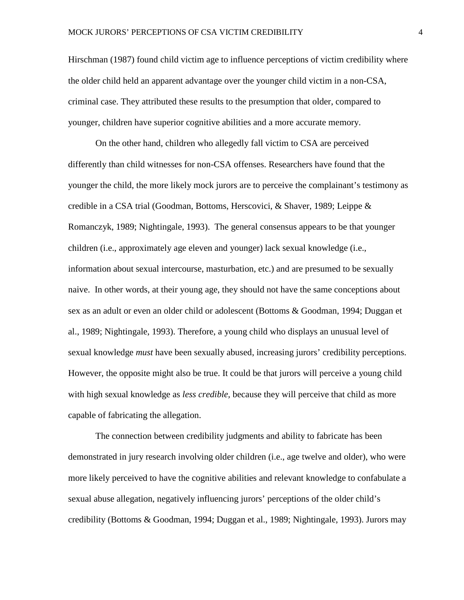Hirschman (1987) found child victim age to influence perceptions of victim credibility where the older child held an apparent advantage over the younger child victim in a non-CSA, criminal case. They attributed these results to the presumption that older, compared to younger, children have superior cognitive abilities and a more accurate memory.

On the other hand, children who allegedly fall victim to CSA are perceived differently than child witnesses for non-CSA offenses. Researchers have found that the younger the child, the more likely mock jurors are to perceive the complainant's testimony as credible in a CSA trial (Goodman, Bottoms, Herscovici, & Shaver, 1989; Leippe & Romanczyk, 1989; Nightingale, 1993). The general consensus appears to be that younger children (i.e., approximately age eleven and younger) lack sexual knowledge (i.e., information about sexual intercourse, masturbation, etc.) and are presumed to be sexually naive. In other words, at their young age, they should not have the same conceptions about sex as an adult or even an older child or adolescent (Bottoms & Goodman, 1994; Duggan et al., 1989; Nightingale, 1993). Therefore, a young child who displays an unusual level of sexual knowledge *must* have been sexually abused, increasing jurors' credibility perceptions. However, the opposite might also be true. It could be that jurors will perceive a young child with high sexual knowledge as *less credible,* because they will perceive that child as more capable of fabricating the allegation.

The connection between credibility judgments and ability to fabricate has been demonstrated in jury research involving older children (i.e., age twelve and older), who were more likely perceived to have the cognitive abilities and relevant knowledge to confabulate a sexual abuse allegation, negatively influencing jurors' perceptions of the older child's credibility (Bottoms & Goodman, 1994; Duggan et al., 1989; Nightingale, 1993). Jurors may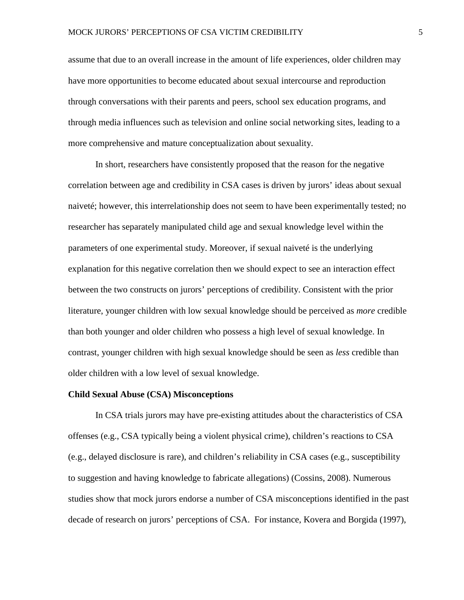assume that due to an overall increase in the amount of life experiences, older children may have more opportunities to become educated about sexual intercourse and reproduction through conversations with their parents and peers, school sex education programs, and through media influences such as television and online social networking sites, leading to a more comprehensive and mature conceptualization about sexuality.

In short, researchers have consistently proposed that the reason for the negative correlation between age and credibility in CSA cases is driven by jurors' ideas about sexual naiveté; however, this interrelationship does not seem to have been experimentally tested; no researcher has separately manipulated child age and sexual knowledge level within the parameters of one experimental study. Moreover, if sexual naiveté is the underlying explanation for this negative correlation then we should expect to see an interaction effect between the two constructs on jurors' perceptions of credibility. Consistent with the prior literature, younger children with low sexual knowledge should be perceived as *more* credible than both younger and older children who possess a high level of sexual knowledge. In contrast, younger children with high sexual knowledge should be seen as *less* credible than older children with a low level of sexual knowledge.

#### **Child Sexual Abuse (CSA) Misconceptions**

In CSA trials jurors may have pre-existing attitudes about the characteristics of CSA offenses (e.g., CSA typically being a violent physical crime), children's reactions to CSA (e.g., delayed disclosure is rare), and children's reliability in CSA cases (e.g., susceptibility to suggestion and having knowledge to fabricate allegations) (Cossins, 2008). Numerous studies show that mock jurors endorse a number of CSA misconceptions identified in the past decade of research on jurors' perceptions of CSA. For instance, Kovera and Borgida (1997),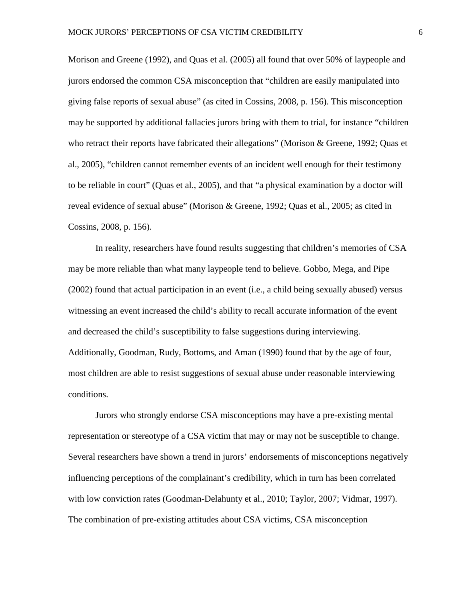Morison and Greene (1992), and Quas et al. (2005) all found that over 50% of laypeople and jurors endorsed the common CSA misconception that "children are easily manipulated into giving false reports of sexual abuse" (as cited in Cossins, 2008, p. 156). This misconception may be supported by additional fallacies jurors bring with them to trial, for instance "children who retract their reports have fabricated their allegations" (Morison & Greene, 1992; Quas et al., 2005), "children cannot remember events of an incident well enough for their testimony to be reliable in court" (Quas et al., 2005), and that "a physical examination by a doctor will reveal evidence of sexual abuse" (Morison & Greene, 1992; Quas et al., 2005; as cited in Cossins, 2008, p. 156).

In reality, researchers have found results suggesting that children's memories of CSA may be more reliable than what many laypeople tend to believe. Gobbo, Mega, and Pipe (2002) found that actual participation in an event (i.e., a child being sexually abused) versus witnessing an event increased the child's ability to recall accurate information of the event and decreased the child's susceptibility to false suggestions during interviewing. Additionally, Goodman, Rudy, Bottoms, and Aman (1990) found that by the age of four, most children are able to resist suggestions of sexual abuse under reasonable interviewing conditions.

Jurors who strongly endorse CSA misconceptions may have a pre-existing mental representation or stereotype of a CSA victim that may or may not be susceptible to change. Several researchers have shown a trend in jurors' endorsements of misconceptions negatively influencing perceptions of the complainant's credibility, which in turn has been correlated with low conviction rates (Goodman-Delahunty et al., 2010; Taylor, 2007; Vidmar, 1997). The combination of pre-existing attitudes about CSA victims, CSA misconception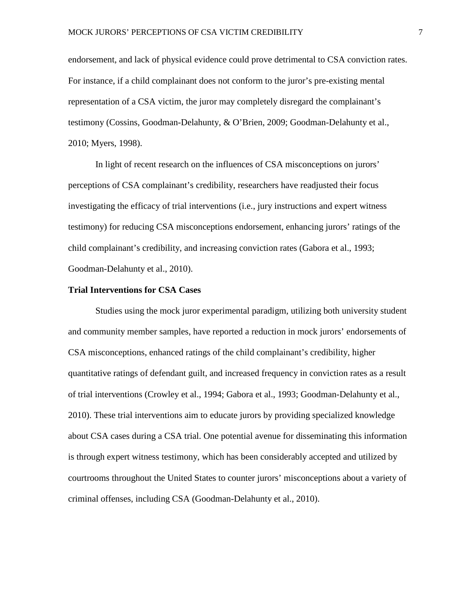endorsement, and lack of physical evidence could prove detrimental to CSA conviction rates. For instance, if a child complainant does not conform to the juror's pre-existing mental representation of a CSA victim, the juror may completely disregard the complainant's testimony (Cossins, Goodman-Delahunty, & O'Brien, 2009; Goodman-Delahunty et al., 2010; Myers, 1998).

In light of recent research on the influences of CSA misconceptions on jurors' perceptions of CSA complainant's credibility, researchers have readjusted their focus investigating the efficacy of trial interventions (i.e., jury instructions and expert witness testimony) for reducing CSA misconceptions endorsement, enhancing jurors' ratings of the child complainant's credibility, and increasing conviction rates (Gabora et al., 1993; Goodman-Delahunty et al., 2010).

#### **Trial Interventions for CSA Cases**

Studies using the mock juror experimental paradigm, utilizing both university student and community member samples, have reported a reduction in mock jurors' endorsements of CSA misconceptions, enhanced ratings of the child complainant's credibility, higher quantitative ratings of defendant guilt, and increased frequency in conviction rates as a result of trial interventions (Crowley et al., 1994; Gabora et al., 1993; Goodman-Delahunty et al., 2010). These trial interventions aim to educate jurors by providing specialized knowledge about CSA cases during a CSA trial. One potential avenue for disseminating this information is through expert witness testimony, which has been considerably accepted and utilized by courtrooms throughout the United States to counter jurors' misconceptions about a variety of criminal offenses, including CSA (Goodman-Delahunty et al., 2010).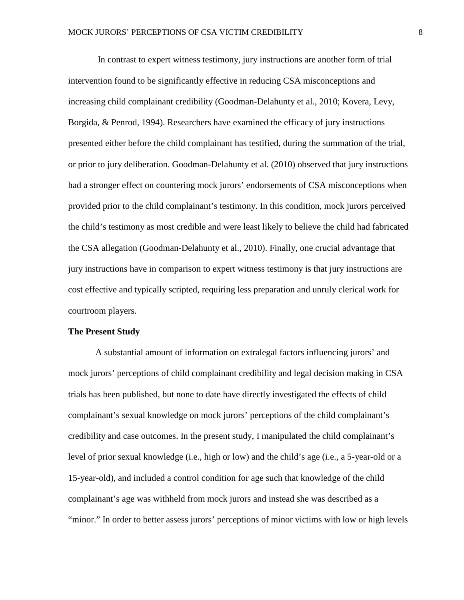In contrast to expert witness testimony, jury instructions are another form of trial intervention found to be significantly effective in reducing CSA misconceptions and increasing child complainant credibility (Goodman-Delahunty et al., 2010; Kovera, Levy, Borgida, & Penrod, 1994). Researchers have examined the efficacy of jury instructions presented either before the child complainant has testified, during the summation of the trial, or prior to jury deliberation. Goodman-Delahunty et al. (2010) observed that jury instructions had a stronger effect on countering mock jurors' endorsements of CSA misconceptions when provided prior to the child complainant's testimony. In this condition, mock jurors perceived the child's testimony as most credible and were least likely to believe the child had fabricated the CSA allegation (Goodman-Delahunty et al., 2010). Finally, one crucial advantage that jury instructions have in comparison to expert witness testimony is that jury instructions are cost effective and typically scripted, requiring less preparation and unruly clerical work for courtroom players.

#### **The Present Study**

A substantial amount of information on extralegal factors influencing jurors' and mock jurors' perceptions of child complainant credibility and legal decision making in CSA trials has been published, but none to date have directly investigated the effects of child complainant's sexual knowledge on mock jurors' perceptions of the child complainant's credibility and case outcomes. In the present study, I manipulated the child complainant's level of prior sexual knowledge (i.e., high or low) and the child's age (i.e., a 5-year-old or a 15-year-old), and included a control condition for age such that knowledge of the child complainant's age was withheld from mock jurors and instead she was described as a "minor." In order to better assess jurors' perceptions of minor victims with low or high levels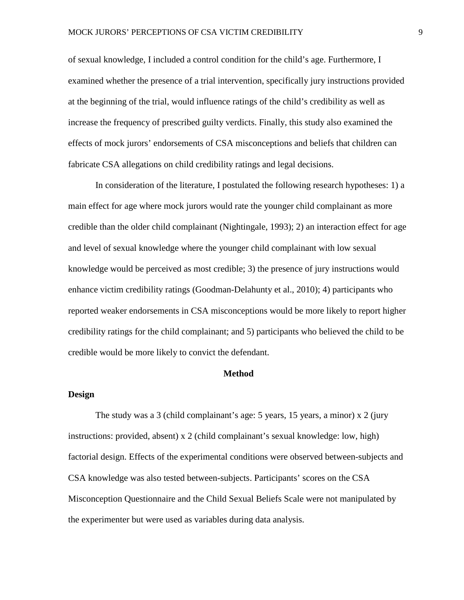of sexual knowledge, I included a control condition for the child's age. Furthermore, I examined whether the presence of a trial intervention, specifically jury instructions provided at the beginning of the trial, would influence ratings of the child's credibility as well as increase the frequency of prescribed guilty verdicts. Finally, this study also examined the effects of mock jurors' endorsements of CSA misconceptions and beliefs that children can fabricate CSA allegations on child credibility ratings and legal decisions.

In consideration of the literature, I postulated the following research hypotheses: 1) a main effect for age where mock jurors would rate the younger child complainant as more credible than the older child complainant (Nightingale, 1993); 2) an interaction effect for age and level of sexual knowledge where the younger child complainant with low sexual knowledge would be perceived as most credible; 3) the presence of jury instructions would enhance victim credibility ratings (Goodman-Delahunty et al., 2010); 4) participants who reported weaker endorsements in CSA misconceptions would be more likely to report higher credibility ratings for the child complainant; and 5) participants who believed the child to be credible would be more likely to convict the defendant.

#### **Method**

#### **Design**

The study was a 3 (child complainant's age: 5 years, 15 years, a minor) x 2 (jury instructions: provided, absent) x 2 (child complainant's sexual knowledge: low, high) factorial design. Effects of the experimental conditions were observed between-subjects and CSA knowledge was also tested between-subjects. Participants' scores on the CSA Misconception Questionnaire and the Child Sexual Beliefs Scale were not manipulated by the experimenter but were used as variables during data analysis.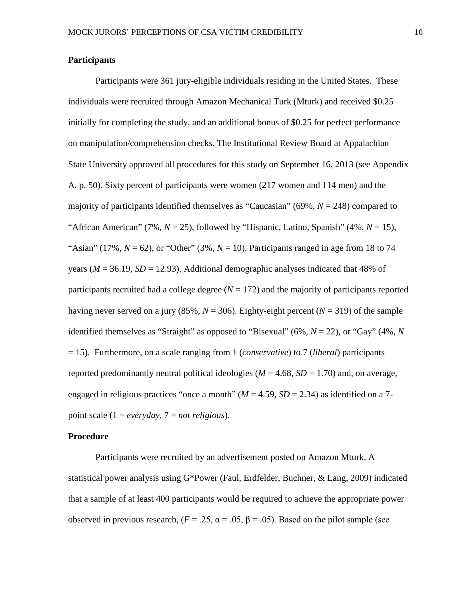#### **Participants**

Participants were 361 jury-eligible individuals residing in the United States. These individuals were recruited through Amazon Mechanical Turk (Mturk) and received \$0.25 initially for completing the study, and an additional bonus of \$0.25 for perfect performance on manipulation/comprehension checks. The Institutional Review Board at Appalachian State University approved all procedures for this study on September 16, 2013 (see Appendix A, p. 50). Sixty percent of participants were women (217 women and 114 men) and the majority of participants identified themselves as "Caucasian" (69%, *N* = 248) compared to "African American" (7%,  $N = 25$ ), followed by "Hispanic, Latino, Spanish" (4%,  $N = 15$ ), "Asian" (17%,  $N = 62$ ), or "Other" (3%,  $N = 10$ ). Participants ranged in age from 18 to 74 years ( $M = 36.19$ ,  $SD = 12.93$ ). Additional demographic analyses indicated that 48% of participants recruited had a college degree  $(N = 172)$  and the majority of participants reported having never served on a jury (85%,  $N = 306$ ). Eighty-eight percent ( $N = 319$ ) of the sample identified themselves as "Straight" as opposed to "Bisexual" (6%,  $N = 22$ ), or "Gay" (4%,  $N$ ) = 15). Furthermore, on a scale ranging from 1 (*conservative*) to 7 (*liberal*) participants reported predominantly neutral political ideologies ( $M = 4.68$ ,  $SD = 1.70$ ) and, on average, engaged in religious practices "once a month" ( $M = 4.59$ ,  $SD = 2.34$ ) as identified on a 7point scale (1 = *everyday*, 7 = *not religious*).

#### **Procedure**

Participants were recruited by an advertisement posted on Amazon Mturk. A statistical power analysis using G\*Power (Faul, Erdfelder, Buchner, & Lang, 2009) indicated that a sample of at least 400 participants would be required to achieve the appropriate power observed in previous research,  $(F = .25, \alpha = .05, \beta = .05)$ . Based on the pilot sample (see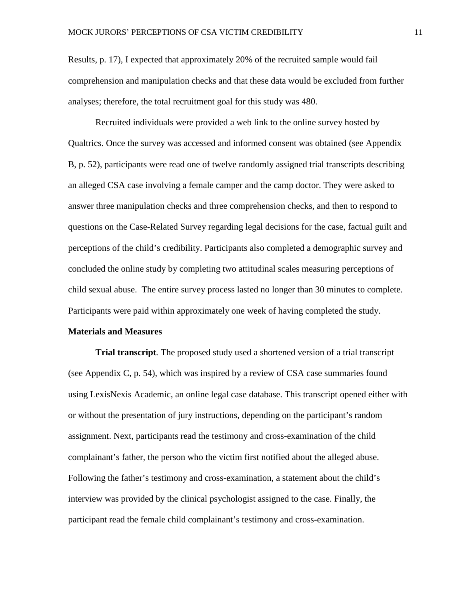Results, p. 17), I expected that approximately 20% of the recruited sample would fail comprehension and manipulation checks and that these data would be excluded from further analyses; therefore, the total recruitment goal for this study was 480.

Recruited individuals were provided a web link to the online survey hosted by Qualtrics. Once the survey was accessed and informed consent was obtained (see Appendix B, p. 52), participants were read one of twelve randomly assigned trial transcripts describing an alleged CSA case involving a female camper and the camp doctor. They were asked to answer three manipulation checks and three comprehension checks, and then to respond to questions on the Case-Related Survey regarding legal decisions for the case, factual guilt and perceptions of the child's credibility. Participants also completed a demographic survey and concluded the online study by completing two attitudinal scales measuring perceptions of child sexual abuse. The entire survey process lasted no longer than 30 minutes to complete. Participants were paid within approximately one week of having completed the study.

#### **Materials and Measures**

**Trial transcript***.* The proposed study used a shortened version of a trial transcript (see Appendix C, p. 54), which was inspired by a review of CSA case summaries found using LexisNexis Academic, an online legal case database. This transcript opened either with or without the presentation of jury instructions, depending on the participant's random assignment. Next, participants read the testimony and cross-examination of the child complainant's father, the person who the victim first notified about the alleged abuse. Following the father's testimony and cross-examination, a statement about the child's interview was provided by the clinical psychologist assigned to the case. Finally, the participant read the female child complainant's testimony and cross-examination.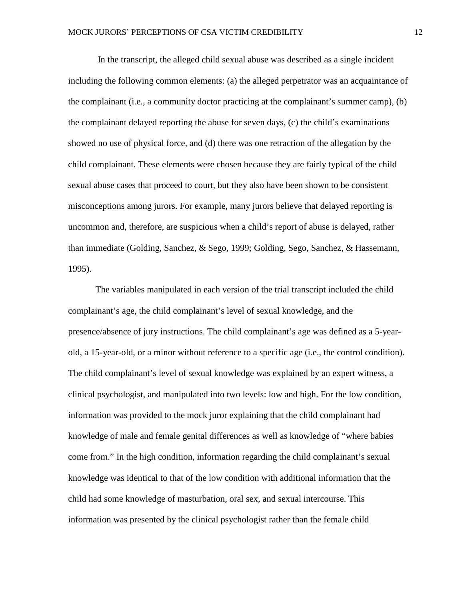In the transcript, the alleged child sexual abuse was described as a single incident including the following common elements: (a) the alleged perpetrator was an acquaintance of the complainant (i.e., a community doctor practicing at the complainant's summer camp), (b) the complainant delayed reporting the abuse for seven days, (c) the child's examinations showed no use of physical force, and (d) there was one retraction of the allegation by the child complainant. These elements were chosen because they are fairly typical of the child sexual abuse cases that proceed to court, but they also have been shown to be consistent misconceptions among jurors. For example, many jurors believe that delayed reporting is uncommon and, therefore, are suspicious when a child's report of abuse is delayed, rather than immediate (Golding, Sanchez, & Sego, 1999; Golding, Sego, Sanchez, & Hassemann, 1995).

The variables manipulated in each version of the trial transcript included the child complainant's age, the child complainant's level of sexual knowledge, and the presence/absence of jury instructions. The child complainant's age was defined as a 5-yearold, a 15-year-old, or a minor without reference to a specific age (i.e., the control condition). The child complainant's level of sexual knowledge was explained by an expert witness, a clinical psychologist, and manipulated into two levels: low and high. For the low condition, information was provided to the mock juror explaining that the child complainant had knowledge of male and female genital differences as well as knowledge of "where babies come from." In the high condition, information regarding the child complainant's sexual knowledge was identical to that of the low condition with additional information that the child had some knowledge of masturbation, oral sex, and sexual intercourse. This information was presented by the clinical psychologist rather than the female child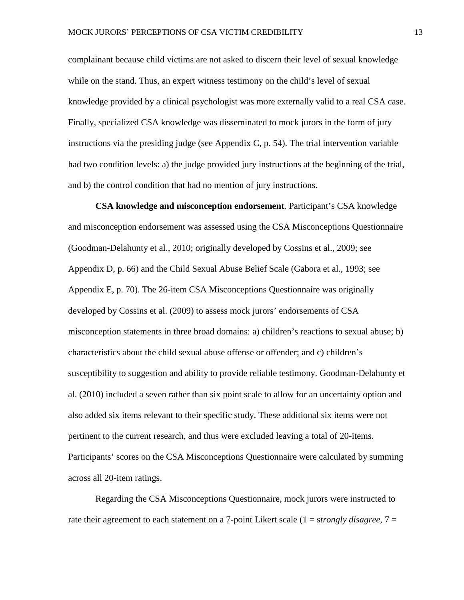complainant because child victims are not asked to discern their level of sexual knowledge while on the stand. Thus, an expert witness testimony on the child's level of sexual knowledge provided by a clinical psychologist was more externally valid to a real CSA case. Finally, specialized CSA knowledge was disseminated to mock jurors in the form of jury instructions via the presiding judge (see Appendix C, p. 54). The trial intervention variable had two condition levels: a) the judge provided jury instructions at the beginning of the trial, and b) the control condition that had no mention of jury instructions.

**CSA knowledge and misconception endorsement***.* Participant's CSA knowledge and misconception endorsement was assessed using the CSA Misconceptions Questionnaire (Goodman-Delahunty et al., 2010; originally developed by Cossins et al., 2009; see Appendix D, p. 66) and the Child Sexual Abuse Belief Scale (Gabora et al., 1993; see Appendix E, p. 70). The 26-item CSA Misconceptions Questionnaire was originally developed by Cossins et al. (2009) to assess mock jurors' endorsements of CSA misconception statements in three broad domains: a) children's reactions to sexual abuse; b) characteristics about the child sexual abuse offense or offender; and c) children's susceptibility to suggestion and ability to provide reliable testimony. Goodman-Delahunty et al. (2010) included a seven rather than six point scale to allow for an uncertainty option and also added six items relevant to their specific study. These additional six items were not pertinent to the current research, and thus were excluded leaving a total of 20-items. Participants' scores on the CSA Misconceptions Questionnaire were calculated by summing across all 20-item ratings.

Regarding the CSA Misconceptions Questionnaire, mock jurors were instructed to rate their agreement to each statement on a 7-point Likert scale (1 = s*trongly disagree*, 7 =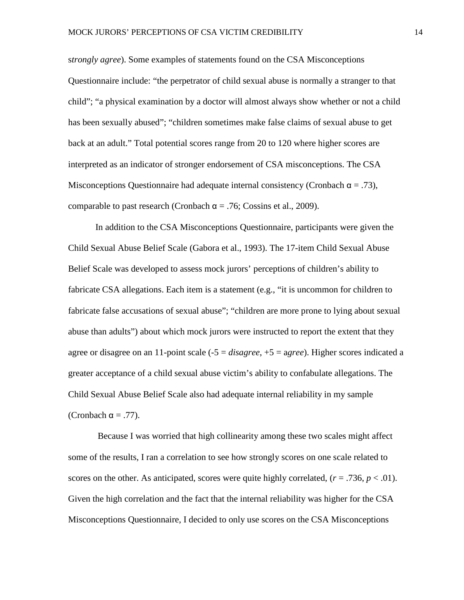s*trongly agree*). Some examples of statements found on the CSA Misconceptions Questionnaire include: "the perpetrator of child sexual abuse is normally a stranger to that child"; "a physical examination by a doctor will almost always show whether or not a child has been sexually abused"; "children sometimes make false claims of sexual abuse to get back at an adult." Total potential scores range from 20 to 120 where higher scores are interpreted as an indicator of stronger endorsement of CSA misconceptions. The CSA Misconceptions Questionnaire had adequate internal consistency (Cronbach  $\alpha = .73$ ), comparable to past research (Cronbach  $\alpha$  = .76; Cossins et al., 2009).

In addition to the CSA Misconceptions Questionnaire, participants were given the Child Sexual Abuse Belief Scale (Gabora et al., 1993). The 17-item Child Sexual Abuse Belief Scale was developed to assess mock jurors' perceptions of children's ability to fabricate CSA allegations. Each item is a statement (e.g., "it is uncommon for children to fabricate false accusations of sexual abuse"; "children are more prone to lying about sexual abuse than adults") about which mock jurors were instructed to report the extent that they agree or disagree on an 11-point scale (-5 = *disagree*, +5 = a*gree*). Higher scores indicated a greater acceptance of a child sexual abuse victim's ability to confabulate allegations. The Child Sexual Abuse Belief Scale also had adequate internal reliability in my sample (Cronbach  $\alpha = .77$ ).

Because I was worried that high collinearity among these two scales might affect some of the results, I ran a correlation to see how strongly scores on one scale related to scores on the other. As anticipated, scores were quite highly correlated,  $(r = .736, p < .01)$ . Given the high correlation and the fact that the internal reliability was higher for the CSA Misconceptions Questionnaire, I decided to only use scores on the CSA Misconceptions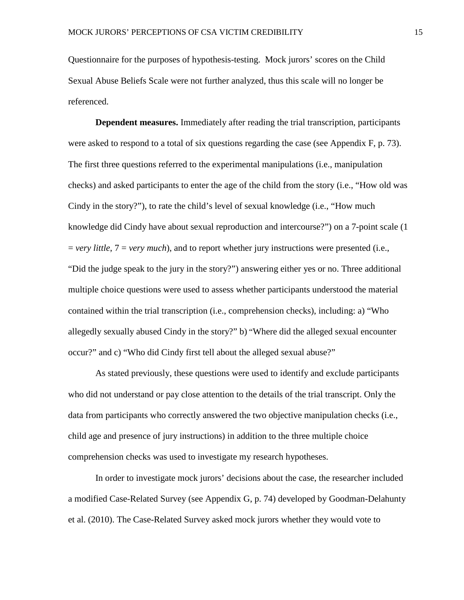Questionnaire for the purposes of hypothesis-testing. Mock jurors' scores on the Child Sexual Abuse Beliefs Scale were not further analyzed, thus this scale will no longer be referenced.

**Dependent measures.** Immediately after reading the trial transcription, participants were asked to respond to a total of six questions regarding the case (see Appendix F, p. 73). The first three questions referred to the experimental manipulations (i.e., manipulation checks) and asked participants to enter the age of the child from the story (i.e., "How old was Cindy in the story?"), to rate the child's level of sexual knowledge (i.e., "How much knowledge did Cindy have about sexual reproduction and intercourse?") on a 7-point scale (1 = *very little*, 7 = *very much*), and to report whether jury instructions were presented (i.e., "Did the judge speak to the jury in the story?") answering either yes or no. Three additional multiple choice questions were used to assess whether participants understood the material contained within the trial transcription (i.e., comprehension checks), including: a) "Who allegedly sexually abused Cindy in the story?" b) "Where did the alleged sexual encounter occur?" and c) "Who did Cindy first tell about the alleged sexual abuse?"

As stated previously, these questions were used to identify and exclude participants who did not understand or pay close attention to the details of the trial transcript. Only the data from participants who correctly answered the two objective manipulation checks (i.e., child age and presence of jury instructions) in addition to the three multiple choice comprehension checks was used to investigate my research hypotheses.

In order to investigate mock jurors' decisions about the case, the researcher included a modified Case-Related Survey (see Appendix G, p. 74) developed by Goodman-Delahunty et al. (2010). The Case-Related Survey asked mock jurors whether they would vote to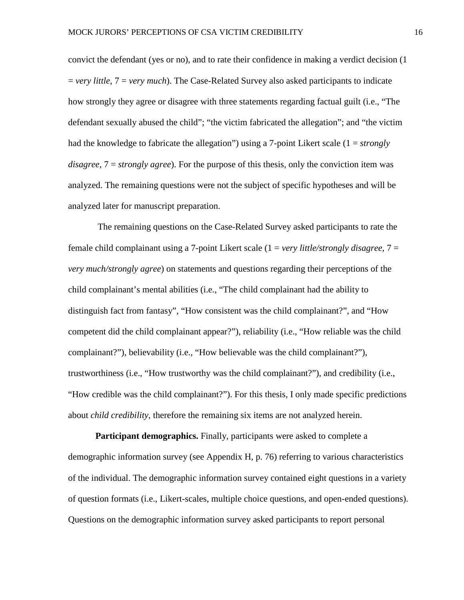convict the defendant (yes or no), and to rate their confidence in making a verdict decision (1 = *very little*, 7 = *very much*). The Case-Related Survey also asked participants to indicate how strongly they agree or disagree with three statements regarding factual guilt (i.e., "The defendant sexually abused the child"; "the victim fabricated the allegation"; and "the victim had the knowledge to fabricate the allegation") using a 7-point Likert scale (1 = *strongly disagree,* 7 = *strongly agree*). For the purpose of this thesis, only the conviction item was analyzed. The remaining questions were not the subject of specific hypotheses and will be analyzed later for manuscript preparation.

The remaining questions on the Case-Related Survey asked participants to rate the female child complainant using a 7-point Likert scale (1 = *very little/strongly disagree*, 7 = *very much/strongly agree*) on statements and questions regarding their perceptions of the child complainant's mental abilities (i.e., "The child complainant had the ability to distinguish fact from fantasy", "How consistent was the child complainant?", and "How competent did the child complainant appear?"), reliability (i.e., "How reliable was the child complainant?"), believability (i.e., "How believable was the child complainant?"), trustworthiness (i.e., "How trustworthy was the child complainant?"), and credibility (i.e., "How credible was the child complainant?"). For this thesis, I only made specific predictions about *child credibility*, therefore the remaining six items are not analyzed herein.

**Participant demographics.** Finally, participants were asked to complete a demographic information survey (see Appendix H, p. 76) referring to various characteristics of the individual. The demographic information survey contained eight questions in a variety of question formats (i.e., Likert-scales, multiple choice questions, and open-ended questions). Questions on the demographic information survey asked participants to report personal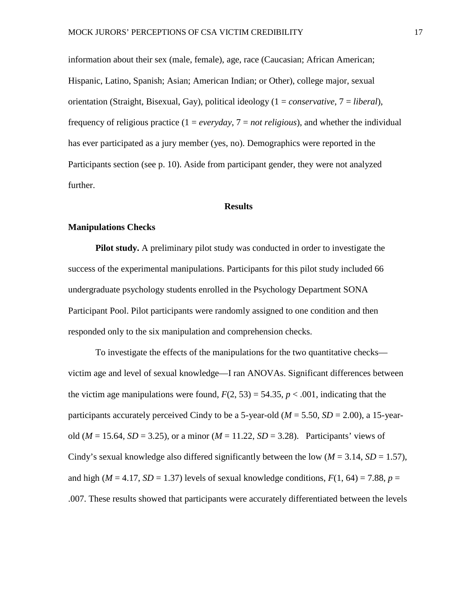information about their sex (male, female), age, race (Caucasian; African American; Hispanic, Latino, Spanish; Asian; American Indian; or Other), college major, sexual orientation (Straight, Bisexual, Gay), political ideology (1 = *conservative*, 7 = *liberal*), frequency of religious practice (1 = *everyday*, 7 = *not religious*), and whether the individual has ever participated as a jury member (yes, no). Demographics were reported in the Participants section (see p. 10). Aside from participant gender, they were not analyzed further.

#### **Results**

#### **Manipulations Checks**

**Pilot study.** A preliminary pilot study was conducted in order to investigate the success of the experimental manipulations. Participants for this pilot study included 66 undergraduate psychology students enrolled in the Psychology Department SONA Participant Pool. Pilot participants were randomly assigned to one condition and then responded only to the six manipulation and comprehension checks.

To investigate the effects of the manipulations for the two quantitative checks victim age and level of sexual knowledge—I ran ANOVAs. Significant differences between the victim age manipulations were found,  $F(2, 53) = 54.35$ ,  $p < .001$ , indicating that the participants accurately perceived Cindy to be a 5-year-old ( $M = 5.50$ ,  $SD = 2.00$ ), a 15-yearold  $(M = 15.64, SD = 3.25)$ , or a minor  $(M = 11.22, SD = 3.28)$ . Participants' views of Cindy's sexual knowledge also differed significantly between the low  $(M = 3.14, SD = 1.57)$ , and high ( $M = 4.17$ ,  $SD = 1.37$ ) levels of sexual knowledge conditions,  $F(1, 64) = 7.88$ ,  $p =$ .007. These results showed that participants were accurately differentiated between the levels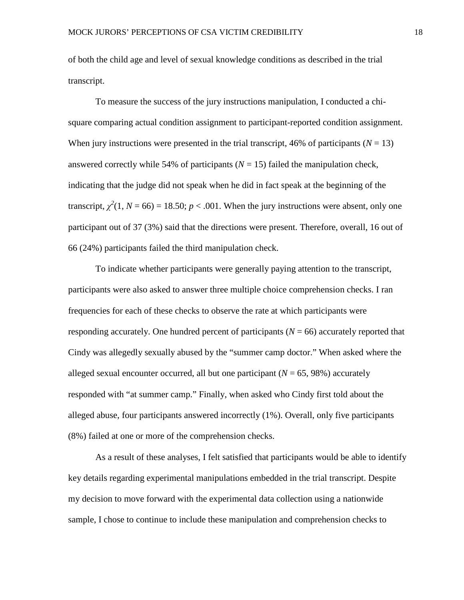of both the child age and level of sexual knowledge conditions as described in the trial transcript.

To measure the success of the jury instructions manipulation, I conducted a chisquare comparing actual condition assignment to participant-reported condition assignment. When jury instructions were presented in the trial transcript, 46% of participants  $(N = 13)$ answered correctly while 54% of participants  $(N = 15)$  failed the manipulation check, indicating that the judge did not speak when he did in fact speak at the beginning of the transcript,  $\chi^2(1, N = 66) = 18.50$ ;  $p < .001$ . When the jury instructions were absent, only one participant out of 37 (3%) said that the directions were present. Therefore, overall, 16 out of 66 (24%) participants failed the third manipulation check.

To indicate whether participants were generally paying attention to the transcript, participants were also asked to answer three multiple choice comprehension checks. I ran frequencies for each of these checks to observe the rate at which participants were responding accurately. One hundred percent of participants  $(N = 66)$  accurately reported that Cindy was allegedly sexually abused by the "summer camp doctor." When asked where the alleged sexual encounter occurred, all but one participant  $(N = 65, 98%)$  accurately responded with "at summer camp." Finally, when asked who Cindy first told about the alleged abuse, four participants answered incorrectly (1%). Overall, only five participants (8%) failed at one or more of the comprehension checks.

As a result of these analyses, I felt satisfied that participants would be able to identify key details regarding experimental manipulations embedded in the trial transcript. Despite my decision to move forward with the experimental data collection using a nationwide sample, I chose to continue to include these manipulation and comprehension checks to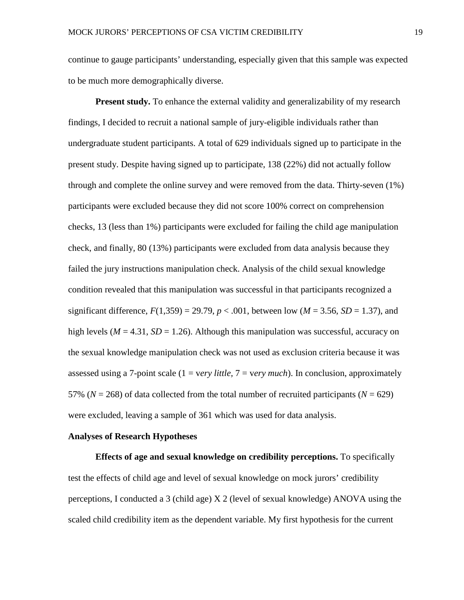continue to gauge participants' understanding, especially given that this sample was expected to be much more demographically diverse.

**Present study.** To enhance the external validity and generalizability of my research findings, I decided to recruit a national sample of jury-eligible individuals rather than undergraduate student participants. A total of 629 individuals signed up to participate in the present study. Despite having signed up to participate, 138 (22%) did not actually follow through and complete the online survey and were removed from the data. Thirty-seven (1%) participants were excluded because they did not score 100% correct on comprehension checks, 13 (less than 1%) participants were excluded for failing the child age manipulation check, and finally, 80 (13%) participants were excluded from data analysis because they failed the jury instructions manipulation check. Analysis of the child sexual knowledge condition revealed that this manipulation was successful in that participants recognized a significant difference,  $F(1,359) = 29.79$ ,  $p < .001$ , between low ( $M = 3.56$ ,  $SD = 1.37$ ), and high levels ( $M = 4.31$ ,  $SD = 1.26$ ). Although this manipulation was successful, accuracy on the sexual knowledge manipulation check was not used as exclusion criteria because it was assessed using a 7-point scale (1 = v*ery little,* 7 = v*ery much*). In conclusion, approximately 57% ( $N = 268$ ) of data collected from the total number of recruited participants ( $N = 629$ ) were excluded, leaving a sample of 361 which was used for data analysis.

#### **Analyses of Research Hypotheses**

**Effects of age and sexual knowledge on credibility perceptions.** To specifically test the effects of child age and level of sexual knowledge on mock jurors' credibility perceptions, I conducted a 3 (child age) X 2 (level of sexual knowledge) ANOVA using the scaled child credibility item as the dependent variable. My first hypothesis for the current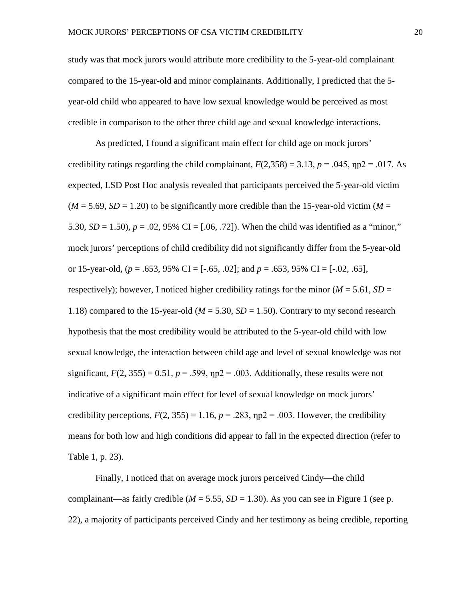study was that mock jurors would attribute more credibility to the 5-year-old complainant compared to the 15-year-old and minor complainants. Additionally, I predicted that the 5 year-old child who appeared to have low sexual knowledge would be perceived as most credible in comparison to the other three child age and sexual knowledge interactions.

As predicted, I found a significant main effect for child age on mock jurors' credibility ratings regarding the child complainant,  $F(2,358) = 3.13$ ,  $p = .045$ ,  $np2 = .017$ . As expected, LSD Post Hoc analysis revealed that participants perceived the 5-year-old victim  $(M = 5.69, SD = 1.20)$  to be significantly more credible than the 15-year-old victim  $(M = 10^{-10})$ 5.30,  $SD = 1.50$ ,  $p = .02$ , 95% CI = [.06, .72]). When the child was identified as a "minor," mock jurors' perceptions of child credibility did not significantly differ from the 5-year-old or 15-year-old, (*p* = .653, 95% CI = [-.65, .02]; and *p* = .653, 95% CI = [-.02, .65], respectively); however, I noticed higher credibility ratings for the minor ( $M = 5.61$ ,  $SD =$ 1.18) compared to the 15-year-old ( $M = 5.30$ ,  $SD = 1.50$ ). Contrary to my second research hypothesis that the most credibility would be attributed to the 5-year-old child with low sexual knowledge, the interaction between child age and level of sexual knowledge was not significant,  $F(2, 355) = 0.51$ ,  $p = .599$ ,  $np2 = .003$ . Additionally, these results were not indicative of a significant main effect for level of sexual knowledge on mock jurors' credibility perceptions,  $F(2, 355) = 1.16$ ,  $p = .283$ ,  $np2 = .003$ . However, the credibility means for both low and high conditions did appear to fall in the expected direction (refer to Table 1, p. 23).

Finally, I noticed that on average mock jurors perceived Cindy—the child complainant—as fairly credible ( $M = 5.55$ ,  $SD = 1.30$ ). As you can see in Figure 1 (see p. 22), a majority of participants perceived Cindy and her testimony as being credible, reporting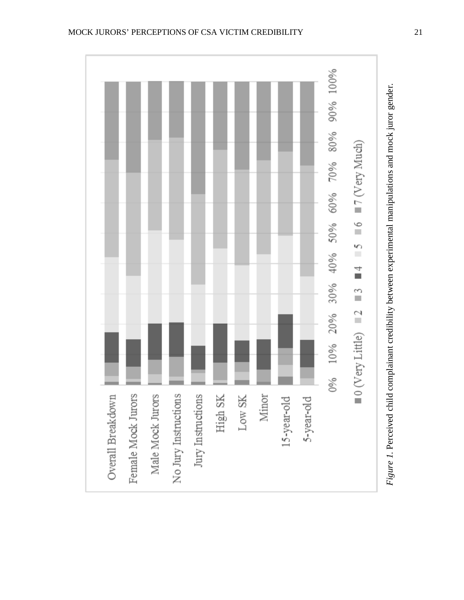

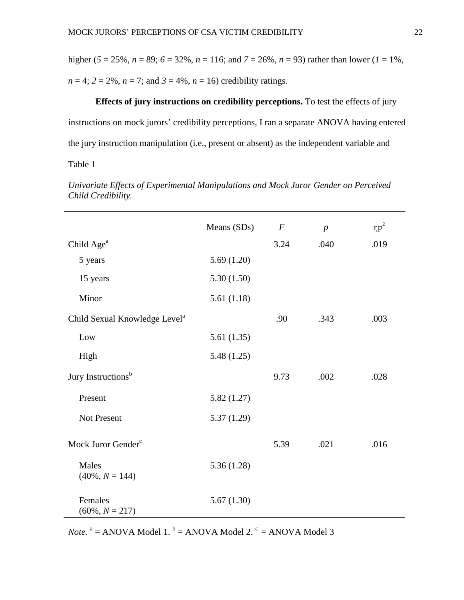higher ( $5 = 25\%$ ,  $n = 89$ ;  $6 = 32\%$ ,  $n = 116$ ; and  $7 = 26\%$ ,  $n = 93$ ) rather than lower ( $l = 1\%$ ,  $n = 4$ ;  $2 = 2\%, n = 7$ ; and  $3 = 4\%, n = 16$ ) credibility ratings.

**Effects of jury instructions on credibility perceptions.** To test the effects of jury instructions on mock jurors' credibility perceptions, I ran a separate ANOVA having entered the jury instruction manipulation (i.e., present or absent) as the independent variable and

Table 1

|                                           | Means (SDs) | $\boldsymbol{F}$ | $\boldsymbol{p}$ | $\eta p^2$ |
|-------------------------------------------|-------------|------------------|------------------|------------|
| Child Age <sup>a</sup>                    |             | 3.24             | .040             | .019       |
| 5 years                                   | 5.69(1.20)  |                  |                  |            |
| 15 years                                  | 5.30(1.50)  |                  |                  |            |
| Minor                                     | 5.61(1.18)  |                  |                  |            |
| Child Sexual Knowledge Level <sup>a</sup> |             | .90              | .343             | .003       |
| Low                                       | 5.61(1.35)  |                  |                  |            |
| High                                      | 5.48(1.25)  |                  |                  |            |
| Jury Instructions <sup>b</sup>            |             | 9.73             | .002             | .028       |
| Present                                   | 5.82(1.27)  |                  |                  |            |
| Not Present                               | 5.37(1.29)  |                  |                  |            |
| Mock Juror Gender <sup>c</sup>            |             | 5.39             | .021             | .016       |
| Males<br>$(40\%, N = 144)$                | 5.36(1.28)  |                  |                  |            |
| Females<br>$(60\%, N = 217)$              | 5.67(1.30)  |                  |                  |            |

*Univariate Effects of Experimental Manipulations and Mock Juror Gender on Perceived Child Credibility.* 

*Note.*  $a = ANOVA Model 1$ .  $b = ANOVA Model 2$ .  $c = ANOVA Model 3$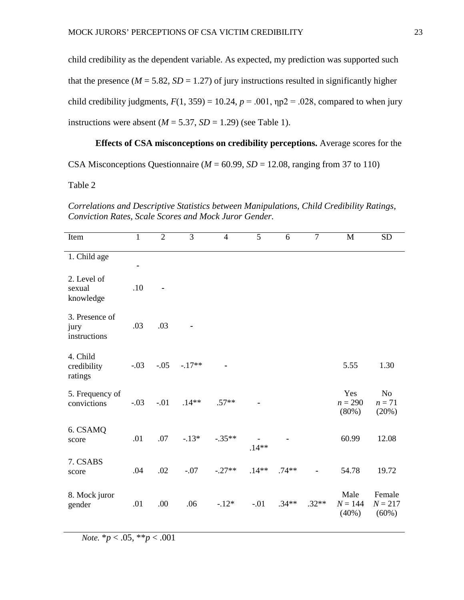child credibility as the dependent variable. As expected, my prediction was supported such that the presence ( $M = 5.82$ ,  $SD = 1.27$ ) of jury instructions resulted in significantly higher child credibility judgments,  $F(1, 359) = 10.24$ ,  $p = .001$ ,  $np2 = .028$ , compared to when jury instructions were absent  $(M = 5.37, SD = 1.29)$  (see Table 1).

# **Effects of CSA misconceptions on credibility perceptions.** Average scores for the

CSA Misconceptions Questionnaire ( $M = 60.99$ ,  $SD = 12.08$ , ranging from 37 to 110)

Table 2

*Correlations and Descriptive Statistics between Manipulations, Child Credibility Ratings, Conviction Rates, Scale Scores and Mock Juror Gender.*

| Item                                   | $\mathbf{1}$   | $\overline{2}$ | $\overline{3}$ | $\overline{4}$ | 5        | 6       | $\overline{7}$ | M                            | <b>SD</b>                           |
|----------------------------------------|----------------|----------------|----------------|----------------|----------|---------|----------------|------------------------------|-------------------------------------|
| 1. Child age                           | $\blacksquare$ |                |                |                |          |         |                |                              |                                     |
| 2. Level of<br>sexual<br>knowledge     | .10            |                |                |                |          |         |                |                              |                                     |
| 3. Presence of<br>jury<br>instructions | .03            | .03            |                |                |          |         |                |                              |                                     |
| 4. Child<br>credibility<br>ratings     | $-.03$         | $-.05$         | $-.17**$       |                |          |         |                | 5.55                         | 1.30                                |
| 5. Frequency of<br>convictions         | $-.03$         | $-.01$         | $.14**$        | $.57**$        |          |         |                | Yes<br>$n = 290$<br>$(80\%)$ | N <sub>o</sub><br>$n = 71$<br>(20%) |
| 6. CSAMQ<br>score                      | .01            | .07            | $-.13*$        | $-.35**$       | $.14***$ |         |                | 60.99                        | 12.08                               |
| 7. CSABS<br>score                      | .04            | .02            | $-.07$         | $-.27**$       | $.14**$  | $.74**$ | $\blacksquare$ | 54.78                        | 19.72                               |
| 8. Mock juror<br>gender                | .01            | .00            | .06            | $-.12*$        | $-.01$   | $.34**$ | $.32**$        | Male<br>$N = 144$<br>(40%)   | Female<br>$N = 217$<br>$(60\%)$     |

*Note.* \**p* < .05, \*\**p* < .001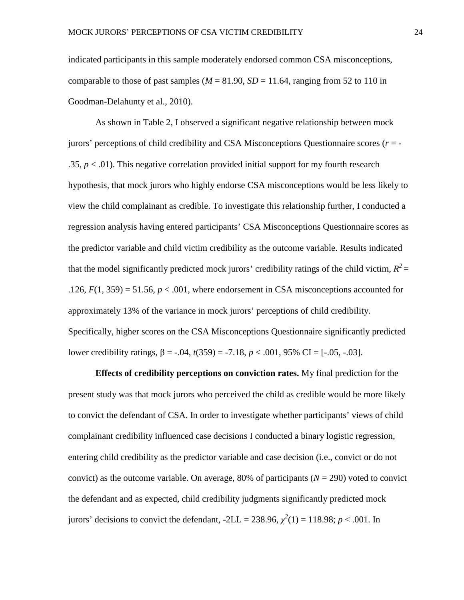indicated participants in this sample moderately endorsed common CSA misconceptions, comparable to those of past samples ( $M = 81.90$ ,  $SD = 11.64$ , ranging from 52 to 110 in Goodman-Delahunty et al., 2010).

As shown in Table 2, I observed a significant negative relationship between mock jurors' perceptions of child credibility and CSA Misconceptions Questionnaire scores (*r* = - .35,  $p < 0.01$ ). This negative correlation provided initial support for my fourth research hypothesis, that mock jurors who highly endorse CSA misconceptions would be less likely to view the child complainant as credible. To investigate this relationship further, I conducted a regression analysis having entered participants' CSA Misconceptions Questionnaire scores as the predictor variable and child victim credibility as the outcome variable. Results indicated that the model significantly predicted mock jurors' credibility ratings of the child victim,  $R^2$  = .126,  $F(1, 359) = 51.56$ ,  $p < .001$ , where endorsement in CSA misconceptions accounted for approximately 13% of the variance in mock jurors' perceptions of child credibility. Specifically, higher scores on the CSA Misconceptions Questionnaire significantly predicted lower credibility ratings, β = -.04, *t*(359) = -7.18, *p* < .001, 95% CI = [-.05, -.03].

**Effects of credibility perceptions on conviction rates.** My final prediction for the present study was that mock jurors who perceived the child as credible would be more likely to convict the defendant of CSA. In order to investigate whether participants' views of child complainant credibility influenced case decisions I conducted a binary logistic regression, entering child credibility as the predictor variable and case decision (i.e., convict or do not convict) as the outcome variable. On average, 80% of participants  $(N = 290)$  voted to convict the defendant and as expected, child credibility judgments significantly predicted mock jurors' decisions to convict the defendant,  $-2LL = 238.96$ ,  $\chi^2(1) = 118.98$ ;  $p < .001$ . In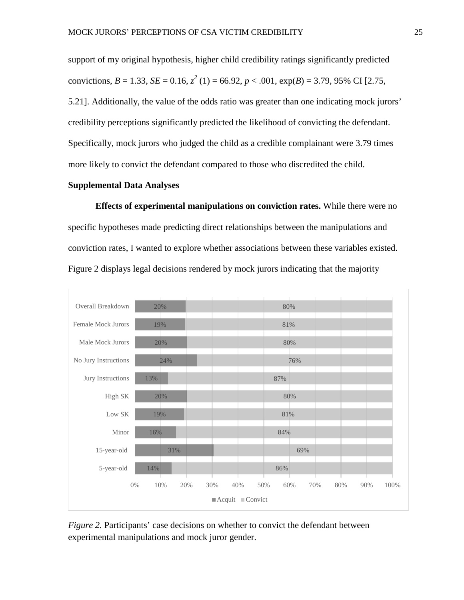support of my original hypothesis, higher child credibility ratings significantly predicted convictions, *B* = 1.33, *SE* = 0.16,  $z^2$  (1) = 66.92, *p* < .001,  $exp(B)$  = 3.79, 95% CI [2.75, 5.21]. Additionally, the value of the odds ratio was greater than one indicating mock jurors' credibility perceptions significantly predicted the likelihood of convicting the defendant. Specifically, mock jurors who judged the child as a credible complainant were 3.79 times more likely to convict the defendant compared to those who discredited the child.

#### **Supplemental Data Analyses**

**Effects of experimental manipulations on conviction rates.** While there were no specific hypotheses made predicting direct relationships between the manipulations and conviction rates, I wanted to explore whether associations between these variables existed. Figure 2 displays legal decisions rendered by mock jurors indicating that the majority



*Figure 2.* Participants' case decisions on whether to convict the defendant between experimental manipulations and mock juror gender.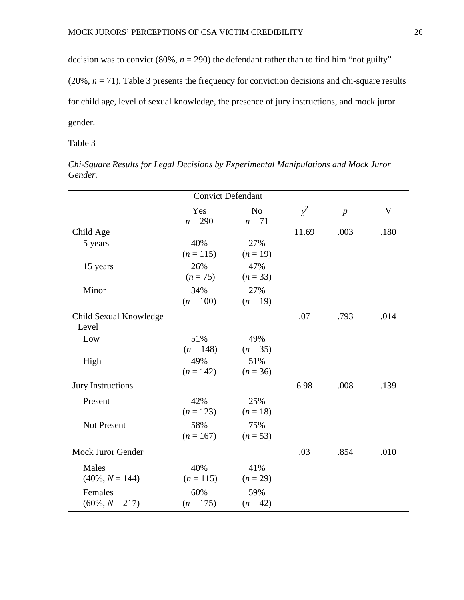decision was to convict (80%,  $n = 290$ ) the defendant rather than to find him "not guilty"

(20%, *n* = 71). Table 3 presents the frequency for conviction decisions and chi-square results

for child age, level of sexual knowledge, the presence of jury instructions, and mock juror

gender.

Table 3

| <b>Convict Defendant</b> |                    |                          |          |                  |             |  |
|--------------------------|--------------------|--------------------------|----------|------------------|-------------|--|
|                          | $Yes$<br>$n = 290$ | N <sub>0</sub><br>$n=71$ | $\chi^2$ | $\boldsymbol{p}$ | $\mathbf V$ |  |
| Child Age                |                    |                          | 11.69    | .003             | .180        |  |
| 5 years                  | 40%                | 27%                      |          |                  |             |  |
|                          | $(n = 115)$        | $(n = 19)$               |          |                  |             |  |
| 15 years                 | 26%                | 47%                      |          |                  |             |  |
|                          | $(n = 75)$         | $(n=33)$                 |          |                  |             |  |
| Minor                    | 34%                | 27%                      |          |                  |             |  |
|                          | $(n = 100)$        | $(n = 19)$               |          |                  |             |  |
| Child Sexual Knowledge   |                    |                          | .07      | .793             | .014        |  |
| Level                    |                    |                          |          |                  |             |  |
| Low                      | 51%                | 49%                      |          |                  |             |  |
|                          | $(n = 148)$        | $(n = 35)$               |          |                  |             |  |
| High                     | 49%                | 51%                      |          |                  |             |  |
|                          | $(n = 142)$        | $(n = 36)$               |          |                  |             |  |
| <b>Jury Instructions</b> |                    |                          | 6.98     | .008             | .139        |  |
| Present                  | 42%                | 25%                      |          |                  |             |  |
|                          | $(n = 123)$        | $(n = 18)$               |          |                  |             |  |
| Not Present              | 58%                | 75%                      |          |                  |             |  |
|                          | $(n = 167)$        | $(n = 53)$               |          |                  |             |  |
| <b>Mock Juror Gender</b> |                    |                          | .03      | .854             | .010        |  |
| Males                    | 40%                | 41%                      |          |                  |             |  |
| $(40\%, N = 144)$        | $(n = 115)$        | $(n = 29)$               |          |                  |             |  |
| Females                  | 60%                | 59%                      |          |                  |             |  |
| $(60\%, N = 217)$        | $(n = 175)$        | $(n = 42)$               |          |                  |             |  |

*Chi-Square Results for Legal Decisions by Experimental Manipulations and Mock Juror Gender.*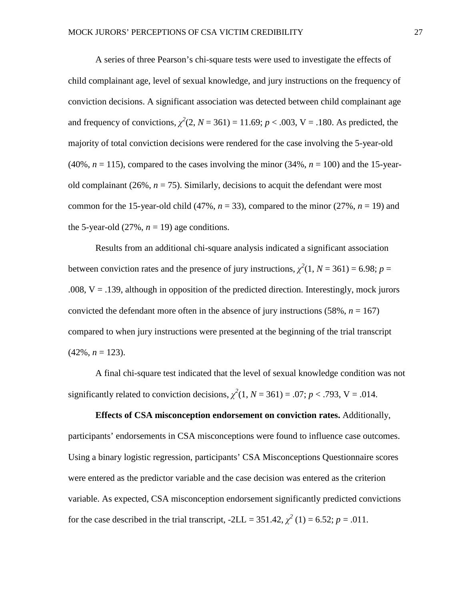A series of three Pearson's chi-square tests were used to investigate the effects of child complainant age, level of sexual knowledge, and jury instructions on the frequency of conviction decisions. A significant association was detected between child complainant age and frequency of convictions,  $\chi^2(2, N = 361) = 11.69$ ;  $p < .003$ , V = .180. As predicted, the majority of total conviction decisions were rendered for the case involving the 5-year-old  $(40\%, n = 115)$ , compared to the cases involving the minor  $(34\%, n = 100)$  and the 15-yearold complainant  $(26\%, n = 75)$ . Similarly, decisions to acquit the defendant were most common for the 15-year-old child  $(47\%, n = 33)$ , compared to the minor  $(27\%, n = 19)$  and the 5-year-old  $(27\%, n = 19)$  age conditions.

Results from an additional chi-square analysis indicated a significant association between conviction rates and the presence of jury instructions,  $\chi^2(1, N = 361) = 6.98$ ;  $p =$ .008,  $V = 0.139$ , although in opposition of the predicted direction. Interestingly, mock jurors convicted the defendant more often in the absence of jury instructions (58%,  $n = 167$ ) compared to when jury instructions were presented at the beginning of the trial transcript  $(42\%, n = 123)$ .

A final chi-square test indicated that the level of sexual knowledge condition was not significantly related to conviction decisions,  $\chi^2(1, N = 361) = .07$ ;  $p < .793$ , V = .014.

# **Effects of CSA misconception endorsement on conviction rates.** Additionally, participants' endorsements in CSA misconceptions were found to influence case outcomes. Using a binary logistic regression, participants' CSA Misconceptions Questionnaire scores were entered as the predictor variable and the case decision was entered as the criterion variable. As expected, CSA misconception endorsement significantly predicted convictions for the case described in the trial transcript,  $-2LL = 351.42$ ,  $\chi^2$  (1) = 6.52; *p* = .011.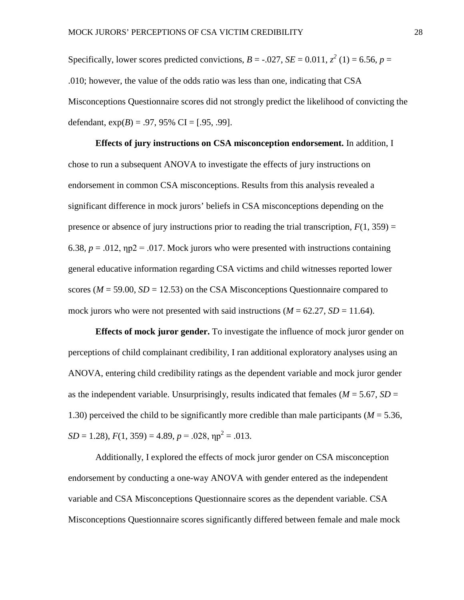Specifically, lower scores predicted convictions,  $B = -.027$ ,  $SE = 0.011$ ,  $z^2$  (1) = 6.56,  $p =$ .010; however, the value of the odds ratio was less than one, indicating that CSA Misconceptions Questionnaire scores did not strongly predict the likelihood of convicting the defendant,  $exp(B) = .97, 95\%$  CI = [.95, .99].

**Effects of jury instructions on CSA misconception endorsement.** In addition, I chose to run a subsequent ANOVA to investigate the effects of jury instructions on endorsement in common CSA misconceptions. Results from this analysis revealed a significant difference in mock jurors' beliefs in CSA misconceptions depending on the presence or absence of jury instructions prior to reading the trial transcription,  $F(1, 359) =$ 6.38,  $p = 0.012$ ,  $np2 = 0.017$ . Mock jurors who were presented with instructions containing general educative information regarding CSA victims and child witnesses reported lower scores ( $M = 59.00$ ,  $SD = 12.53$ ) on the CSA Misconceptions Questionnaire compared to mock jurors who were not presented with said instructions  $(M = 62.27, SD = 11.64)$ .

**Effects of mock juror gender.** To investigate the influence of mock juror gender on perceptions of child complainant credibility, I ran additional exploratory analyses using an ANOVA, entering child credibility ratings as the dependent variable and mock juror gender as the independent variable. Unsurprisingly, results indicated that females ( $M = 5.67$ ,  $SD =$ 1.30) perceived the child to be significantly more credible than male participants  $(M = 5.36$ ,  $SD = 1.28$ ,  $F(1, 359) = 4.89$ ,  $p = .028$ ,  $np^2 = .013$ .

Additionally, I explored the effects of mock juror gender on CSA misconception endorsement by conducting a one-way ANOVA with gender entered as the independent variable and CSA Misconceptions Questionnaire scores as the dependent variable. CSA Misconceptions Questionnaire scores significantly differed between female and male mock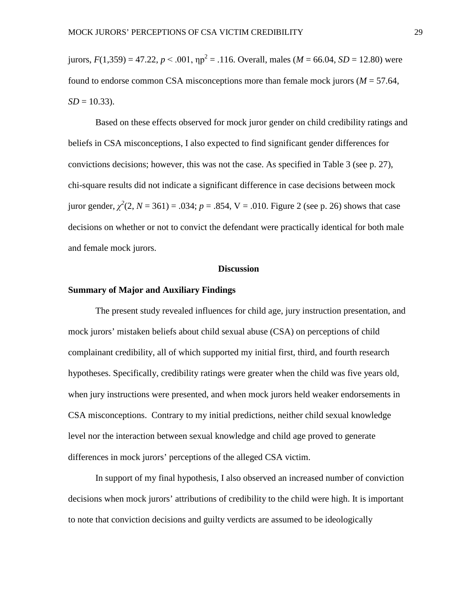jurors,  $F(1,359) = 47.22$ ,  $p < .001$ ,  $np^2 = .116$ . Overall, males ( $M = 66.04$ ,  $SD = 12.80$ ) were found to endorse common CSA misconceptions more than female mock jurors ( $M = 57.64$ ,  $SD = 10.33$ ).

Based on these effects observed for mock juror gender on child credibility ratings and beliefs in CSA misconceptions, I also expected to find significant gender differences for convictions decisions; however, this was not the case. As specified in Table 3 (see p. 27), chi-square results did not indicate a significant difference in case decisions between mock juror gender,  $\chi^2(2, N = 361) = .034$ ;  $p = .854$ ,  $V = .010$ . Figure 2 (see p. 26) shows that case decisions on whether or not to convict the defendant were practically identical for both male and female mock jurors.

#### **Discussion**

#### **Summary of Major and Auxiliary Findings**

The present study revealed influences for child age, jury instruction presentation, and mock jurors' mistaken beliefs about child sexual abuse (CSA) on perceptions of child complainant credibility, all of which supported my initial first, third, and fourth research hypotheses. Specifically, credibility ratings were greater when the child was five years old, when jury instructions were presented, and when mock jurors held weaker endorsements in CSA misconceptions. Contrary to my initial predictions, neither child sexual knowledge level nor the interaction between sexual knowledge and child age proved to generate differences in mock jurors' perceptions of the alleged CSA victim.

In support of my final hypothesis, I also observed an increased number of conviction decisions when mock jurors' attributions of credibility to the child were high. It is important to note that conviction decisions and guilty verdicts are assumed to be ideologically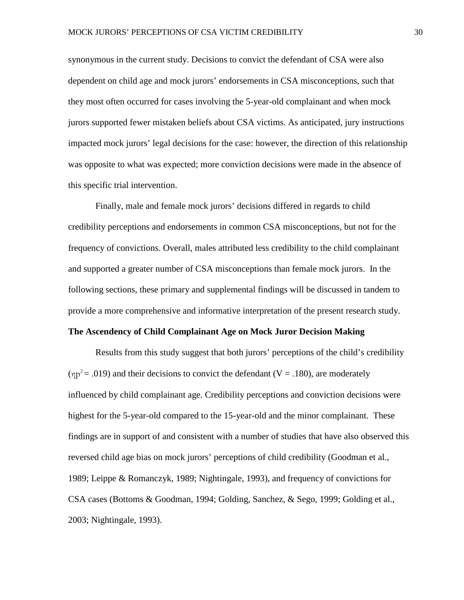synonymous in the current study. Decisions to convict the defendant of CSA were also dependent on child age and mock jurors' endorsements in CSA misconceptions, such that they most often occurred for cases involving the 5-year-old complainant and when mock jurors supported fewer mistaken beliefs about CSA victims. As anticipated, jury instructions impacted mock jurors' legal decisions for the case: however, the direction of this relationship was opposite to what was expected; more conviction decisions were made in the absence of this specific trial intervention.

Finally, male and female mock jurors' decisions differed in regards to child credibility perceptions and endorsements in common CSA misconceptions, but not for the frequency of convictions. Overall, males attributed less credibility to the child complainant and supported a greater number of CSA misconceptions than female mock jurors. In the following sections, these primary and supplemental findings will be discussed in tandem to provide a more comprehensive and informative interpretation of the present research study.

#### **The Ascendency of Child Complainant Age on Mock Juror Decision Making**

Results from this study suggest that both jurors' perceptions of the child's credibility  $(\text{np}^2 = .019)$  and their decisions to convict the defendant (V = .180), are moderately influenced by child complainant age. Credibility perceptions and conviction decisions were highest for the 5-year-old compared to the 15-year-old and the minor complainant. These findings are in support of and consistent with a number of studies that have also observed this reversed child age bias on mock jurors' perceptions of child credibility (Goodman et al., 1989; Leippe & Romanczyk, 1989; Nightingale, 1993), and frequency of convictions for CSA cases (Bottoms & Goodman, 1994; Golding, Sanchez, & Sego, 1999; Golding et al., 2003; Nightingale, 1993).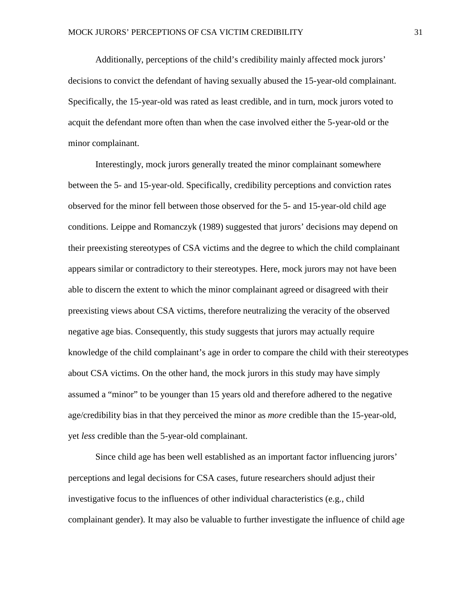Additionally, perceptions of the child's credibility mainly affected mock jurors' decisions to convict the defendant of having sexually abused the 15-year-old complainant. Specifically, the 15-year-old was rated as least credible, and in turn, mock jurors voted to acquit the defendant more often than when the case involved either the 5-year-old or the minor complainant.

Interestingly, mock jurors generally treated the minor complainant somewhere between the 5- and 15-year-old. Specifically, credibility perceptions and conviction rates observed for the minor fell between those observed for the 5- and 15-year-old child age conditions. Leippe and Romanczyk (1989) suggested that jurors' decisions may depend on their preexisting stereotypes of CSA victims and the degree to which the child complainant appears similar or contradictory to their stereotypes. Here, mock jurors may not have been able to discern the extent to which the minor complainant agreed or disagreed with their preexisting views about CSA victims, therefore neutralizing the veracity of the observed negative age bias. Consequently, this study suggests that jurors may actually require knowledge of the child complainant's age in order to compare the child with their stereotypes about CSA victims. On the other hand, the mock jurors in this study may have simply assumed a "minor" to be younger than 15 years old and therefore adhered to the negative age/credibility bias in that they perceived the minor as *more* credible than the 15-year-old, yet *less* credible than the 5-year-old complainant.

Since child age has been well established as an important factor influencing jurors' perceptions and legal decisions for CSA cases, future researchers should adjust their investigative focus to the influences of other individual characteristics (e.g., child complainant gender). It may also be valuable to further investigate the influence of child age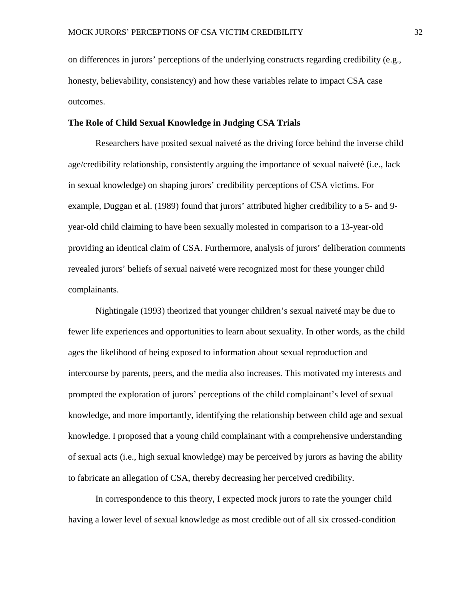on differences in jurors' perceptions of the underlying constructs regarding credibility (e.g., honesty, believability, consistency) and how these variables relate to impact CSA case outcomes.

#### **The Role of Child Sexual Knowledge in Judging CSA Trials**

Researchers have posited sexual naiveté as the driving force behind the inverse child age/credibility relationship, consistently arguing the importance of sexual naiveté (i.e., lack in sexual knowledge) on shaping jurors' credibility perceptions of CSA victims. For example, Duggan et al. (1989) found that jurors' attributed higher credibility to a 5- and 9 year-old child claiming to have been sexually molested in comparison to a 13-year-old providing an identical claim of CSA. Furthermore, analysis of jurors' deliberation comments revealed jurors' beliefs of sexual naiveté were recognized most for these younger child complainants.

Nightingale (1993) theorized that younger children's sexual naiveté may be due to fewer life experiences and opportunities to learn about sexuality. In other words, as the child ages the likelihood of being exposed to information about sexual reproduction and intercourse by parents, peers, and the media also increases. This motivated my interests and prompted the exploration of jurors' perceptions of the child complainant's level of sexual knowledge, and more importantly, identifying the relationship between child age and sexual knowledge. I proposed that a young child complainant with a comprehensive understanding of sexual acts (i.e., high sexual knowledge) may be perceived by jurors as having the ability to fabricate an allegation of CSA, thereby decreasing her perceived credibility.

In correspondence to this theory, I expected mock jurors to rate the younger child having a lower level of sexual knowledge as most credible out of all six crossed-condition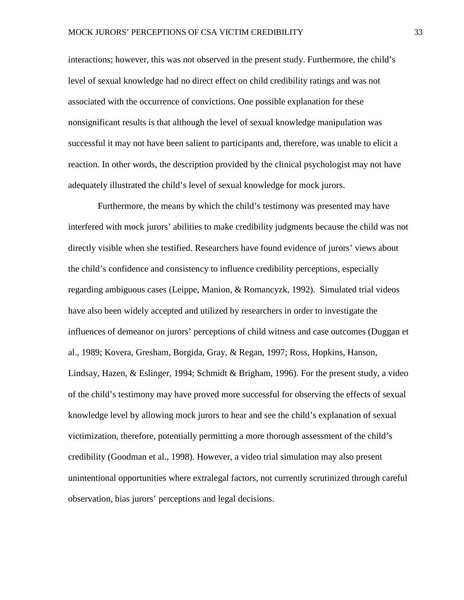interactions; however, this was not observed in the present study. Furthermore, the child's level of sexual knowledge had no direct effect on child credibility ratings and was not associated with the occurrence of convictions. One possible explanation for these nonsignificant results is that although the level of sexual knowledge manipulation was successful it may not have been salient to participants and, therefore, was unable to elicit a reaction. In other words, the description provided by the clinical psychologist may not have adequately illustrated the child's level of sexual knowledge for mock jurors.

Furthermore, the means by which the child's testimony was presented may have interfered with mock jurors' abilities to make credibility judgments because the child was not directly visible when she testified. Researchers have found evidence of jurors' views about the child's confidence and consistency to influence credibility perceptions, especially regarding ambiguous cases (Leippe, Manion, & Romancyzk, 1992). Simulated trial videos have also been widely accepted and utilized by researchers in order to investigate the influences of demeanor on jurors' perceptions of child witness and case outcomes (Duggan et al., 1989; Kovera, Gresham, Borgida, Gray, & Regan, 1997; Ross, Hopkins, Hanson, Lindsay, Hazen, & Eslinger, 1994; Schmidt & Brigham, 1996). For the present study, a video of the child's testimony may have proved more successful for observing the effects of sexual knowledge level by allowing mock jurors to hear and see the child's explanation of sexual victimization, therefore, potentially permitting a more thorough assessment of the child's credibility (Goodman et al., 1998). However, a video trial simulation may also present unintentional opportunities where extralegal factors, not currently scrutinized through careful observation, bias jurors' perceptions and legal decisions.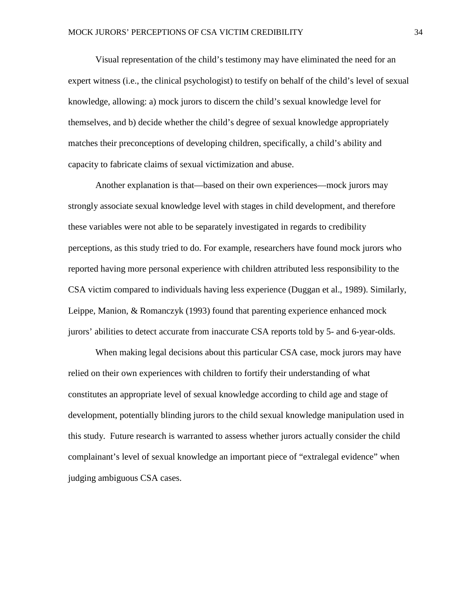Visual representation of the child's testimony may have eliminated the need for an expert witness (i.e., the clinical psychologist) to testify on behalf of the child's level of sexual knowledge, allowing: a) mock jurors to discern the child's sexual knowledge level for themselves, and b) decide whether the child's degree of sexual knowledge appropriately matches their preconceptions of developing children, specifically, a child's ability and capacity to fabricate claims of sexual victimization and abuse.

Another explanation is that—based on their own experiences—mock jurors may strongly associate sexual knowledge level with stages in child development, and therefore these variables were not able to be separately investigated in regards to credibility perceptions, as this study tried to do. For example, researchers have found mock jurors who reported having more personal experience with children attributed less responsibility to the CSA victim compared to individuals having less experience (Duggan et al., 1989). Similarly, Leippe, Manion, & Romanczyk (1993) found that parenting experience enhanced mock jurors' abilities to detect accurate from inaccurate CSA reports told by 5- and 6-year-olds.

When making legal decisions about this particular CSA case, mock jurors may have relied on their own experiences with children to fortify their understanding of what constitutes an appropriate level of sexual knowledge according to child age and stage of development, potentially blinding jurors to the child sexual knowledge manipulation used in this study. Future research is warranted to assess whether jurors actually consider the child complainant's level of sexual knowledge an important piece of "extralegal evidence" when judging ambiguous CSA cases.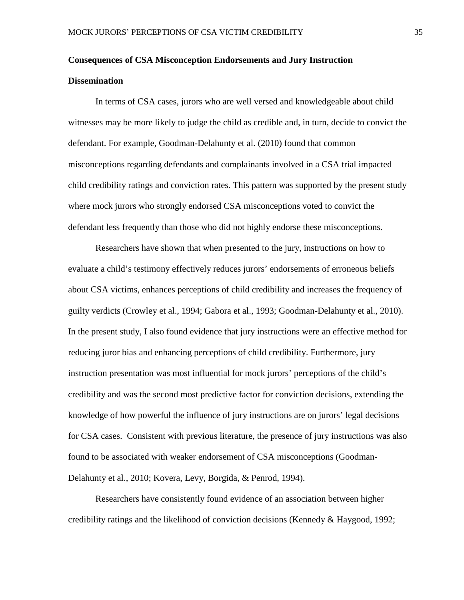# **Consequences of CSA Misconception Endorsements and Jury Instruction Dissemination**

In terms of CSA cases, jurors who are well versed and knowledgeable about child witnesses may be more likely to judge the child as credible and, in turn, decide to convict the defendant. For example, Goodman-Delahunty et al. (2010) found that common misconceptions regarding defendants and complainants involved in a CSA trial impacted child credibility ratings and conviction rates. This pattern was supported by the present study where mock jurors who strongly endorsed CSA misconceptions voted to convict the defendant less frequently than those who did not highly endorse these misconceptions.

Researchers have shown that when presented to the jury, instructions on how to evaluate a child's testimony effectively reduces jurors' endorsements of erroneous beliefs about CSA victims, enhances perceptions of child credibility and increases the frequency of guilty verdicts (Crowley et al., 1994; Gabora et al., 1993; Goodman-Delahunty et al., 2010). In the present study, I also found evidence that jury instructions were an effective method for reducing juror bias and enhancing perceptions of child credibility. Furthermore, jury instruction presentation was most influential for mock jurors' perceptions of the child's credibility and was the second most predictive factor for conviction decisions, extending the knowledge of how powerful the influence of jury instructions are on jurors' legal decisions for CSA cases. Consistent with previous literature, the presence of jury instructions was also found to be associated with weaker endorsement of CSA misconceptions (Goodman-Delahunty et al., 2010; Kovera, Levy, Borgida, & Penrod, 1994).

Researchers have consistently found evidence of an association between higher credibility ratings and the likelihood of conviction decisions (Kennedy & Haygood, 1992;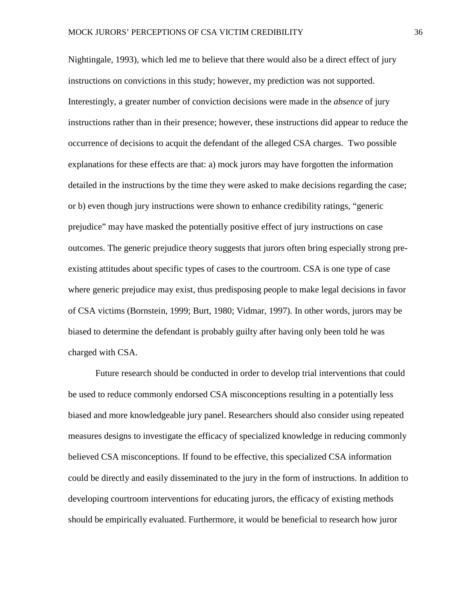Nightingale, 1993), which led me to believe that there would also be a direct effect of jury instructions on convictions in this study; however, my prediction was not supported. Interestingly, a greater number of conviction decisions were made in the *absence* of jury instructions rather than in their presence; however, these instructions did appear to reduce the occurrence of decisions to acquit the defendant of the alleged CSA charges. Two possible explanations for these effects are that: a) mock jurors may have forgotten the information detailed in the instructions by the time they were asked to make decisions regarding the case; or b) even though jury instructions were shown to enhance credibility ratings, "generic prejudice" may have masked the potentially positive effect of jury instructions on case outcomes. The generic prejudice theory suggests that jurors often bring especially strong preexisting attitudes about specific types of cases to the courtroom. CSA is one type of case where generic prejudice may exist, thus predisposing people to make legal decisions in favor of CSA victims (Bornstein, 1999; Burt, 1980; Vidmar, 1997). In other words, jurors may be biased to determine the defendant is probably guilty after having only been told he was charged with CSA.

Future research should be conducted in order to develop trial interventions that could be used to reduce commonly endorsed CSA misconceptions resulting in a potentially less biased and more knowledgeable jury panel. Researchers should also consider using repeated measures designs to investigate the efficacy of specialized knowledge in reducing commonly believed CSA misconceptions. If found to be effective, this specialized CSA information could be directly and easily disseminated to the jury in the form of instructions. In addition to developing courtroom interventions for educating jurors, the efficacy of existing methods should be empirically evaluated. Furthermore, it would be beneficial to research how juror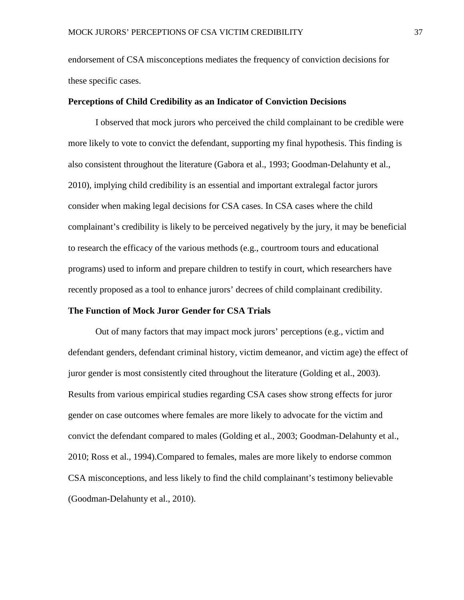endorsement of CSA misconceptions mediates the frequency of conviction decisions for these specific cases.

#### **Perceptions of Child Credibility as an Indicator of Conviction Decisions**

I observed that mock jurors who perceived the child complainant to be credible were more likely to vote to convict the defendant, supporting my final hypothesis. This finding is also consistent throughout the literature (Gabora et al., 1993; Goodman-Delahunty et al., 2010), implying child credibility is an essential and important extralegal factor jurors consider when making legal decisions for CSA cases. In CSA cases where the child complainant's credibility is likely to be perceived negatively by the jury, it may be beneficial to research the efficacy of the various methods (e.g., courtroom tours and educational programs) used to inform and prepare children to testify in court, which researchers have recently proposed as a tool to enhance jurors' decrees of child complainant credibility.

#### **The Function of Mock Juror Gender for CSA Trials**

Out of many factors that may impact mock jurors' perceptions (e.g., victim and defendant genders, defendant criminal history, victim demeanor, and victim age) the effect of juror gender is most consistently cited throughout the literature (Golding et al., 2003). Results from various empirical studies regarding CSA cases show strong effects for juror gender on case outcomes where females are more likely to advocate for the victim and convict the defendant compared to males (Golding et al., 2003; Goodman-Delahunty et al., 2010; Ross et al., 1994).Compared to females, males are more likely to endorse common CSA misconceptions, and less likely to find the child complainant's testimony believable (Goodman-Delahunty et al., 2010).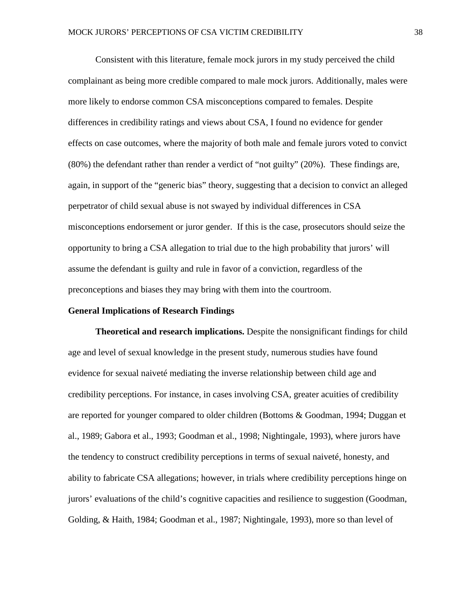Consistent with this literature, female mock jurors in my study perceived the child complainant as being more credible compared to male mock jurors. Additionally, males were more likely to endorse common CSA misconceptions compared to females. Despite differences in credibility ratings and views about CSA, I found no evidence for gender effects on case outcomes, where the majority of both male and female jurors voted to convict (80%) the defendant rather than render a verdict of "not guilty" (20%). These findings are, again, in support of the "generic bias" theory, suggesting that a decision to convict an alleged perpetrator of child sexual abuse is not swayed by individual differences in CSA misconceptions endorsement or juror gender. If this is the case, prosecutors should seize the opportunity to bring a CSA allegation to trial due to the high probability that jurors' will assume the defendant is guilty and rule in favor of a conviction, regardless of the preconceptions and biases they may bring with them into the courtroom.

#### **General Implications of Research Findings**

**Theoretical and research implications.** Despite the nonsignificant findings for child age and level of sexual knowledge in the present study, numerous studies have found evidence for sexual naiveté mediating the inverse relationship between child age and credibility perceptions. For instance, in cases involving CSA, greater acuities of credibility are reported for younger compared to older children (Bottoms & Goodman, 1994; Duggan et al., 1989; Gabora et al., 1993; Goodman et al., 1998; Nightingale, 1993), where jurors have the tendency to construct credibility perceptions in terms of sexual naiveté, honesty, and ability to fabricate CSA allegations; however, in trials where credibility perceptions hinge on jurors' evaluations of the child's cognitive capacities and resilience to suggestion (Goodman, Golding, & Haith, 1984; Goodman et al., 1987; Nightingale, 1993), more so than level of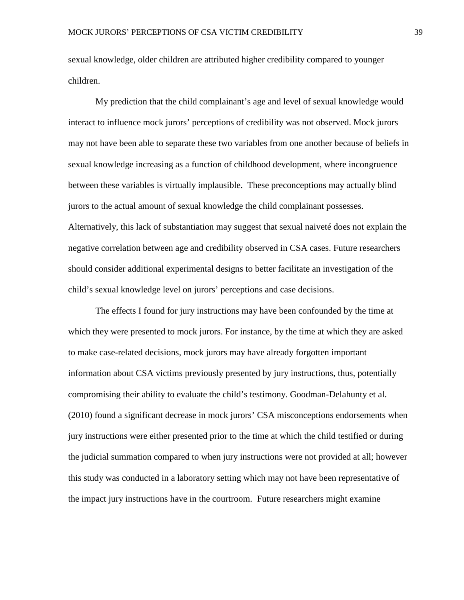sexual knowledge, older children are attributed higher credibility compared to younger children.

My prediction that the child complainant's age and level of sexual knowledge would interact to influence mock jurors' perceptions of credibility was not observed. Mock jurors may not have been able to separate these two variables from one another because of beliefs in sexual knowledge increasing as a function of childhood development, where incongruence between these variables is virtually implausible. These preconceptions may actually blind jurors to the actual amount of sexual knowledge the child complainant possesses. Alternatively, this lack of substantiation may suggest that sexual naiveté does not explain the negative correlation between age and credibility observed in CSA cases. Future researchers should consider additional experimental designs to better facilitate an investigation of the child's sexual knowledge level on jurors' perceptions and case decisions.

The effects I found for jury instructions may have been confounded by the time at which they were presented to mock jurors. For instance, by the time at which they are asked to make case-related decisions, mock jurors may have already forgotten important information about CSA victims previously presented by jury instructions, thus, potentially compromising their ability to evaluate the child's testimony. Goodman-Delahunty et al. (2010) found a significant decrease in mock jurors' CSA misconceptions endorsements when jury instructions were either presented prior to the time at which the child testified or during the judicial summation compared to when jury instructions were not provided at all; however this study was conducted in a laboratory setting which may not have been representative of the impact jury instructions have in the courtroom. Future researchers might examine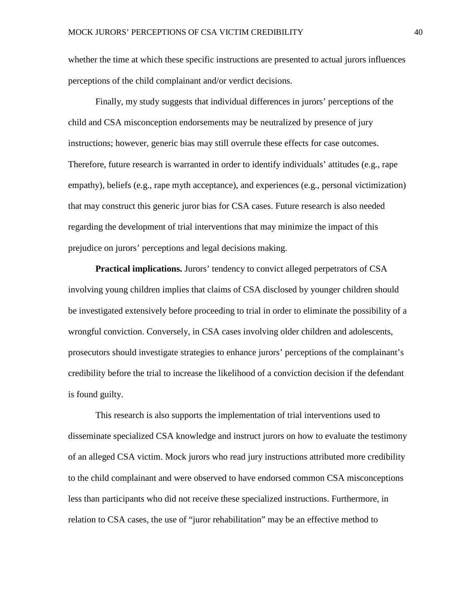whether the time at which these specific instructions are presented to actual jurors influences perceptions of the child complainant and/or verdict decisions.

Finally, my study suggests that individual differences in jurors' perceptions of the child and CSA misconception endorsements may be neutralized by presence of jury instructions; however, generic bias may still overrule these effects for case outcomes. Therefore, future research is warranted in order to identify individuals' attitudes (e.g., rape empathy), beliefs (e.g., rape myth acceptance), and experiences (e.g., personal victimization) that may construct this generic juror bias for CSA cases. Future research is also needed regarding the development of trial interventions that may minimize the impact of this prejudice on jurors' perceptions and legal decisions making.

**Practical implications.** Jurors' tendency to convict alleged perpetrators of CSA involving young children implies that claims of CSA disclosed by younger children should be investigated extensively before proceeding to trial in order to eliminate the possibility of a wrongful conviction. Conversely, in CSA cases involving older children and adolescents, prosecutors should investigate strategies to enhance jurors' perceptions of the complainant's credibility before the trial to increase the likelihood of a conviction decision if the defendant is found guilty.

This research is also supports the implementation of trial interventions used to disseminate specialized CSA knowledge and instruct jurors on how to evaluate the testimony of an alleged CSA victim. Mock jurors who read jury instructions attributed more credibility to the child complainant and were observed to have endorsed common CSA misconceptions less than participants who did not receive these specialized instructions. Furthermore, in relation to CSA cases, the use of "juror rehabilitation" may be an effective method to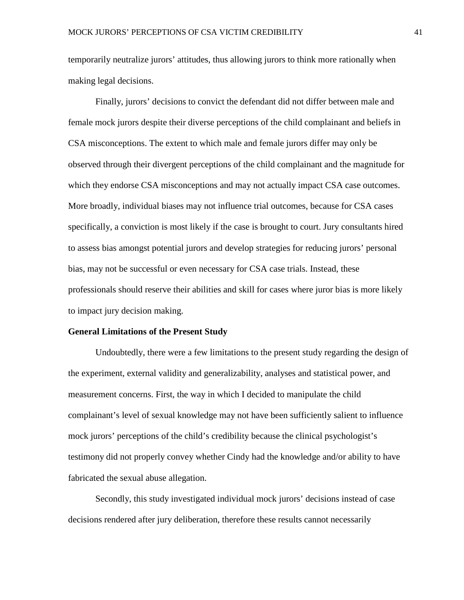temporarily neutralize jurors' attitudes, thus allowing jurors to think more rationally when making legal decisions.

Finally, jurors' decisions to convict the defendant did not differ between male and female mock jurors despite their diverse perceptions of the child complainant and beliefs in CSA misconceptions. The extent to which male and female jurors differ may only be observed through their divergent perceptions of the child complainant and the magnitude for which they endorse CSA misconceptions and may not actually impact CSA case outcomes. More broadly, individual biases may not influence trial outcomes, because for CSA cases specifically, a conviction is most likely if the case is brought to court. Jury consultants hired to assess bias amongst potential jurors and develop strategies for reducing jurors' personal bias, may not be successful or even necessary for CSA case trials. Instead, these professionals should reserve their abilities and skill for cases where juror bias is more likely to impact jury decision making.

#### **General Limitations of the Present Study**

Undoubtedly, there were a few limitations to the present study regarding the design of the experiment, external validity and generalizability, analyses and statistical power, and measurement concerns. First, the way in which I decided to manipulate the child complainant's level of sexual knowledge may not have been sufficiently salient to influence mock jurors' perceptions of the child's credibility because the clinical psychologist's testimony did not properly convey whether Cindy had the knowledge and/or ability to have fabricated the sexual abuse allegation.

Secondly, this study investigated individual mock jurors' decisions instead of case decisions rendered after jury deliberation, therefore these results cannot necessarily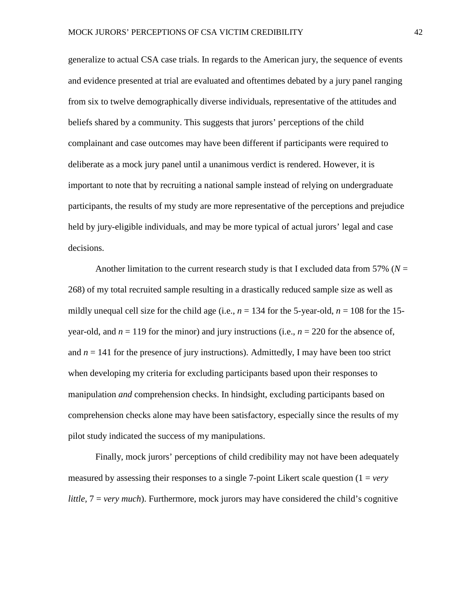generalize to actual CSA case trials. In regards to the American jury, the sequence of events and evidence presented at trial are evaluated and oftentimes debated by a jury panel ranging from six to twelve demographically diverse individuals, representative of the attitudes and beliefs shared by a community. This suggests that jurors' perceptions of the child complainant and case outcomes may have been different if participants were required to deliberate as a mock jury panel until a unanimous verdict is rendered. However, it is important to note that by recruiting a national sample instead of relying on undergraduate participants, the results of my study are more representative of the perceptions and prejudice held by jury-eligible individuals, and may be more typical of actual jurors' legal and case decisions.

Another limitation to the current research study is that I excluded data from 57% ( $N =$ 268) of my total recruited sample resulting in a drastically reduced sample size as well as mildly unequal cell size for the child age (i.e.,  $n = 134$  for the 5-year-old,  $n = 108$  for the 15year-old, and  $n = 119$  for the minor) and jury instructions (i.e.,  $n = 220$  for the absence of, and  $n = 141$  for the presence of jury instructions). Admittedly, I may have been too strict when developing my criteria for excluding participants based upon their responses to manipulation *and* comprehension checks. In hindsight, excluding participants based on comprehension checks alone may have been satisfactory, especially since the results of my pilot study indicated the success of my manipulations.

Finally, mock jurors' perceptions of child credibility may not have been adequately measured by assessing their responses to a single 7-point Likert scale question  $(1 = \nu e \nu)$ *little,*  $7 = \text{very much}$ . Furthermore, mock jurors may have considered the child's cognitive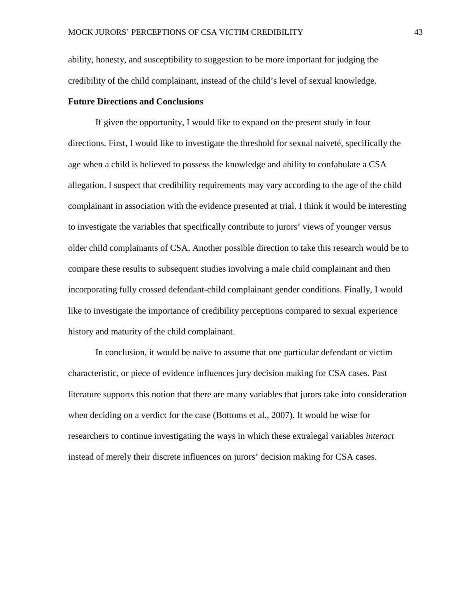ability, honesty, and susceptibility to suggestion to be more important for judging the credibility of the child complainant, instead of the child's level of sexual knowledge.

#### **Future Directions and Conclusions**

If given the opportunity, I would like to expand on the present study in four directions. First, I would like to investigate the threshold for sexual naiveté, specifically the age when a child is believed to possess the knowledge and ability to confabulate a CSA allegation. I suspect that credibility requirements may vary according to the age of the child complainant in association with the evidence presented at trial. I think it would be interesting to investigate the variables that specifically contribute to jurors' views of younger versus older child complainants of CSA. Another possible direction to take this research would be to compare these results to subsequent studies involving a male child complainant and then incorporating fully crossed defendant-child complainant gender conditions. Finally, I would like to investigate the importance of credibility perceptions compared to sexual experience history and maturity of the child complainant.

In conclusion, it would be naive to assume that one particular defendant or victim characteristic, or piece of evidence influences jury decision making for CSA cases. Past literature supports this notion that there are many variables that jurors take into consideration when deciding on a verdict for the case (Bottoms et al., 2007). It would be wise for researchers to continue investigating the ways in which these extralegal variables *interact* instead of merely their discrete influences on jurors' decision making for CSA cases.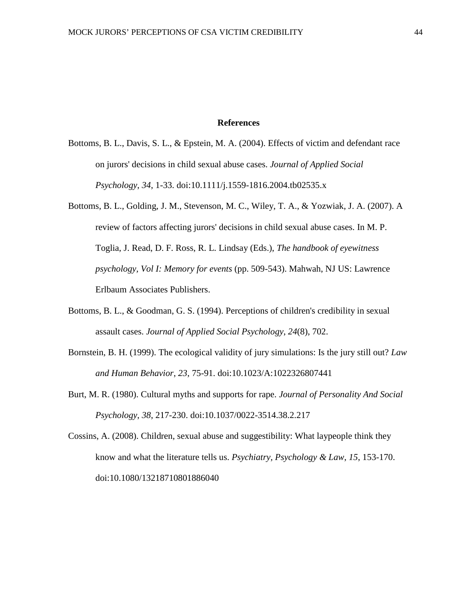#### **References**

- Bottoms, B. L., Davis, S. L., & Epstein, M. A. (2004). Effects of victim and defendant race on jurors' decisions in child sexual abuse cases. *Journal of Applied Social Psychology*, *34*, 1-33. doi:10.1111/j.1559-1816.2004.tb02535.x
- Bottoms, B. L., Golding, J. M., Stevenson, M. C., Wiley, T. A., & Yozwiak, J. A. (2007). A review of factors affecting jurors' decisions in child sexual abuse cases. In M. P. Toglia, J. Read, D. F. Ross, R. L. Lindsay (Eds.), *The handbook of eyewitness psychology, Vol I: Memory for events* (pp. 509-543). Mahwah, NJ US: Lawrence Erlbaum Associates Publishers.
- Bottoms, B. L., & Goodman, G. S. (1994). Perceptions of children's credibility in sexual assault cases. *Journal of Applied Social Psychology*, *24*(8), 702.
- Bornstein, B. H. (1999). The ecological validity of jury simulations: Is the jury still out? *Law and Human Behavior*, *23*, 75-91. doi:10.1023/A:1022326807441
- Burt, M. R. (1980). Cultural myths and supports for rape. *Journal of Personality And Social Psychology*, *38*, 217-230. doi:10.1037/0022-3514.38.2.217
- Cossins, A. (2008). Children, sexual abuse and suggestibility: What laypeople think they know and what the literature tells us. *Psychiatry, Psychology & Law*, *15*, 153-170. doi:10.1080/13218710801886040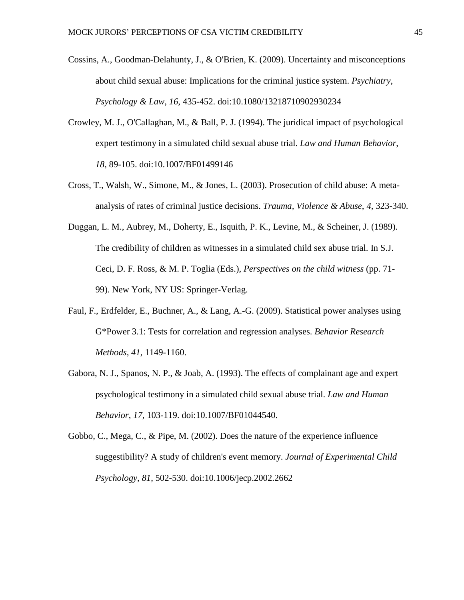- Cossins, A., Goodman-Delahunty, J., & O'Brien, K. (2009). Uncertainty and misconceptions about child sexual abuse: Implications for the criminal justice system. *Psychiatry, Psychology & Law*, *16*, 435-452. doi:10.1080/13218710902930234
- Crowley, M. J., O'Callaghan, M., & Ball, P. J. (1994). The juridical impact of psychological expert testimony in a simulated child sexual abuse trial. *Law and Human Behavior*, *18*, 89-105. doi:10.1007/BF01499146
- Cross, T., Walsh, W., Simone, M., & Jones, L. (2003). Prosecution of child abuse: A metaanalysis of rates of criminal justice decisions. *Trauma, Violence & Abuse*, *4*, 323-340.
- Duggan, L. M., Aubrey, M., Doherty, E., Isquith, P. K., Levine, M., & Scheiner, J. (1989). The credibility of children as witnesses in a simulated child sex abuse trial. In S.J. Ceci, D. F. Ross, & M. P. Toglia (Eds.), *Perspectives on the child witness* (pp. 71- 99). New York, NY US: Springer-Verlag.
- Faul, F., Erdfelder, E., Buchner, A., & Lang, A.-G. (2009). Statistical power analyses using G\*Power 3.1: Tests for correlation and regression analyses. *Behavior Research Methods, 41*, 1149-1160.
- Gabora, N. J., Spanos, N. P., & Joab, A. (1993). The effects of complainant age and expert psychological testimony in a simulated child sexual abuse trial. *Law and Human Behavior*, *17*, 103-119. doi:10.1007/BF01044540.
- Gobbo, C., Mega, C., & Pipe, M. (2002). Does the nature of the experience influence suggestibility? A study of children's event memory. *Journal of Experimental Child Psychology*, *81*, 502-530. doi:10.1006/jecp.2002.2662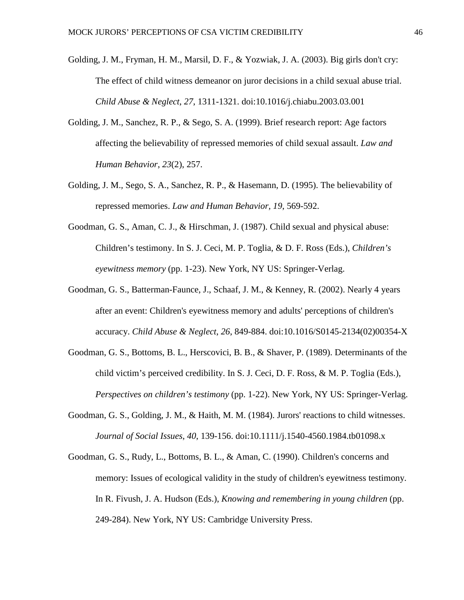- Golding, J. M., Fryman, H. M., Marsil, D. F., & Yozwiak, J. A. (2003). Big girls don't cry: The effect of child witness demeanor on juror decisions in a child sexual abuse trial. *Child Abuse & Neglect*, *27*, 1311-1321. doi:10.1016/j.chiabu.2003.03.001
- Golding, J. M., Sanchez, R. P., & Sego, S. A. (1999). Brief research report: Age factors affecting the believability of repressed memories of child sexual assault. *Law and Human Behavior*, *23*(2), 257.
- Golding, J. M.*,* Sego, S. A., Sanchez, R. P., & Hasemann, D. (1995). The believability of repressed memories. *Law and Human Behavior, 19*, 569-592.
- Goodman, G. S., Aman, C. J., & Hirschman, J. (1987). Child sexual and physical abuse: Children's testimony. In S. J. Ceci, M. P. Toglia, & D. F. Ross (Eds.), *Children's eyewitness memory* (pp. 1-23). New York, NY US: Springer-Verlag.
- Goodman, G. S., Batterman-Faunce, J., Schaaf, J. M., & Kenney, R. (2002). Nearly 4 years after an event: Children's eyewitness memory and adults' perceptions of children's accuracy. *Child Abuse & Neglect*, *26*, 849-884. doi:10.1016/S0145-2134(02)00354-X
- Goodman, G. S., Bottoms, B. L., Herscovici, B. B., & Shaver, P. (1989). Determinants of the child victim's perceived credibility. In S. J. Ceci, D. F. Ross, & M. P. Toglia (Eds.), *Perspectives on children's testimony* (pp. 1-22). New York, NY US: Springer-Verlag.
- Goodman, G. S., Golding, J. M., & Haith, M. M. (1984). Jurors' reactions to child witnesses. *Journal of Social Issues*, *40*, 139-156. doi:10.1111/j.1540-4560.1984.tb01098.x
- Goodman, G. S., Rudy, L., Bottoms, B. L., & Aman, C. (1990). Children's concerns and memory: Issues of ecological validity in the study of children's eyewitness testimony. In R. Fivush, J. A. Hudson (Eds.), *Knowing and remembering in young children* (pp. 249-284). New York, NY US: Cambridge University Press.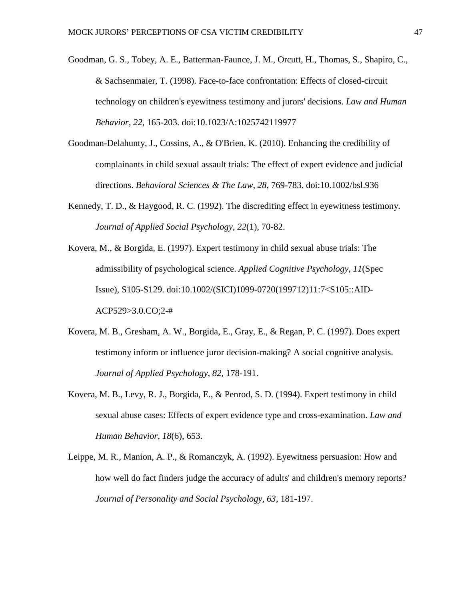- Goodman, G. S., Tobey, A. E., Batterman-Faunce, J. M., Orcutt, H., Thomas, S., Shapiro, C., & Sachsenmaier, T. (1998). Face-to-face confrontation: Effects of closed-circuit technology on children's eyewitness testimony and jurors' decisions. *Law and Human Behavior*, *22*, 165-203. doi:10.1023/A:1025742119977
- Goodman-Delahunty, J., Cossins, A., & O'Brien, K. (2010). Enhancing the credibility of complainants in child sexual assault trials: The effect of expert evidence and judicial directions. *Behavioral Sciences & The Law*, *28*, 769-783. doi:10.1002/bsl.936
- Kennedy, T. D., & Haygood, R. C. (1992). The discrediting effect in eyewitness testimony. *Journal of Applied Social Psychology*, *22*(1), 70-82.
- Kovera, M., & Borgida, E. (1997). Expert testimony in child sexual abuse trials: The admissibility of psychological science. *Applied Cognitive Psychology*, *11*(Spec Issue), S105-S129. doi:10.1002/(SICI)1099-0720(199712)11:7<S105::AID-ACP529>3.0.CO;2-#
- Kovera, M. B., Gresham, A. W., Borgida, E., Gray, E., & Regan, P. C. (1997). Does expert testimony inform or influence juror decision-making? A social cognitive analysis. *Journal of Applied Psychology, 82,* 178-191.
- Kovera, M. B., Levy, R. J., Borgida, E., & Penrod, S. D. (1994). Expert testimony in child sexual abuse cases: Effects of expert evidence type and cross-examination. *Law and Human Behavior*, *18*(6), 653.
- Leippe, M. R., Manion, A. P., & Romanczyk, A. (1992). Eyewitness persuasion: How and how well do fact finders judge the accuracy of adults' and children's memory reports? *Journal of Personality and Social Psychology, 63,* 181-197.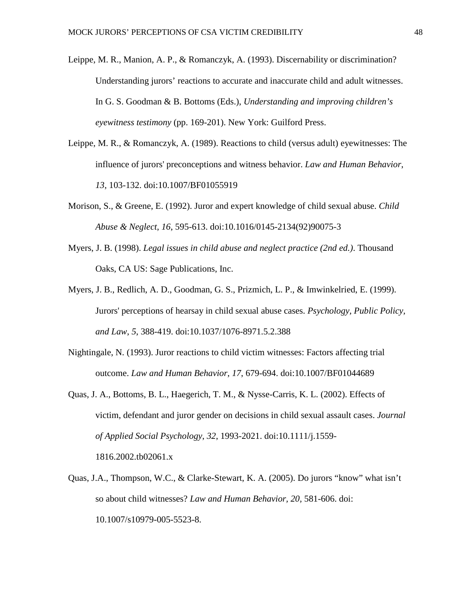- Leippe, M. R., Manion, A. P., & Romanczyk, A. (1993). Discernability or discrimination? Understanding jurors' reactions to accurate and inaccurate child and adult witnesses. In G. S. Goodman & B. Bottoms (Eds.), *Understanding and improving children's eyewitness testimony* (pp. 169-201). New York: Guilford Press.
- Leippe, M. R., & Romanczyk, A. (1989). Reactions to child (versus adult) eyewitnesses: The influence of jurors' preconceptions and witness behavior. *Law and Human Behavior*, *13*, 103-132. doi:10.1007/BF01055919
- Morison, S., & Greene, E. (1992). Juror and expert knowledge of child sexual abuse. *Child Abuse & Neglect*, *16*, 595-613. doi:10.1016/0145-2134(92)90075-3
- Myers, J. B. (1998). *Legal issues in child abuse and neglect practice (2nd ed.)*. Thousand Oaks, CA US: Sage Publications, Inc.
- Myers, J. B., Redlich, A. D., Goodman, G. S., Prizmich, L. P., & Imwinkelried, E. (1999). Jurors' perceptions of hearsay in child sexual abuse cases. *Psychology, Public Policy, and Law*, *5*, 388-419. doi:10.1037/1076-8971.5.2.388
- Nightingale, N. (1993). Juror reactions to child victim witnesses: Factors affecting trial outcome. *Law and Human Behavior*, *17*, 679-694. doi:10.1007/BF01044689
- Quas, J. A., Bottoms, B. L., Haegerich, T. M., & Nysse-Carris, K. L. (2002). Effects of victim, defendant and juror gender on decisions in child sexual assault cases. *Journal of Applied Social Psychology*, *32*, 1993-2021. doi:10.1111/j.1559- 1816.2002.tb02061.x
- Quas, J.A., Thompson, W.C., & Clarke-Stewart, K. A. (2005). Do jurors "know" what isn't so about child witnesses? *Law and Human Behavior, 20,* 581-606. doi: 10.1007/s10979-005-5523-8.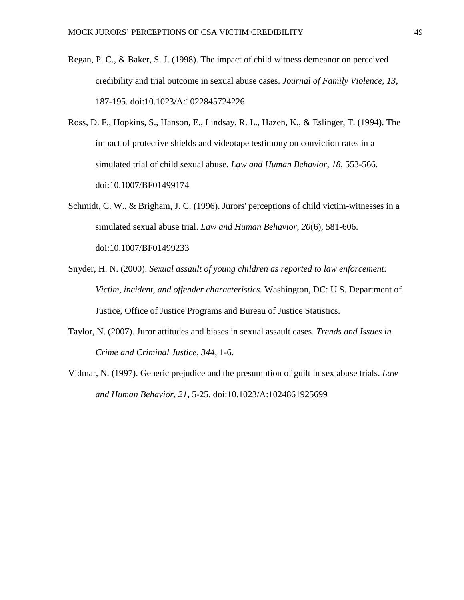- Regan, P. C., & Baker, S. J. (1998). The impact of child witness demeanor on perceived credibility and trial outcome in sexual abuse cases. *Journal of Family Violence*, *13*, 187-195. doi:10.1023/A:1022845724226
- Ross, D. F., Hopkins, S., Hanson, E., Lindsay, R. L., Hazen, K., & Eslinger, T. (1994). The impact of protective shields and videotape testimony on conviction rates in a simulated trial of child sexual abuse. *Law and Human Behavior*, *18*, 553-566. doi:10.1007/BF01499174
- Schmidt, C. W., & Brigham, J. C. (1996). Jurors' perceptions of child victim-witnesses in a simulated sexual abuse trial. *Law and Human Behavior*, *20*(6), 581-606. doi:10.1007/BF01499233
- Snyder, H. N. (2000). *Sexual assault of young children as reported to law enforcement: Victim, incident, and offender characteristics.* Washington, DC: U.S. Department of Justice, Office of Justice Programs and Bureau of Justice Statistics.
- Taylor, N. (2007). Juror attitudes and biases in sexual assault cases. *Trends and Issues in Crime and Criminal Justice, 344,* 1-6.
- Vidmar, N. (1997). Generic prejudice and the presumption of guilt in sex abuse trials. *Law and Human Behavior*, *21*, 5-25. doi:10.1023/A:1024861925699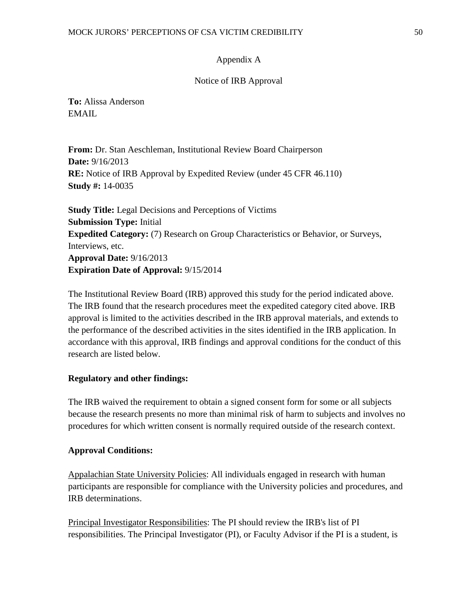# Appendix A

## Notice of IRB Approval

**To:** Alissa Anderson EMAIL.

**From:** Dr. Stan Aeschleman, Institutional Review Board Chairperson **Date:** 9/16/2013 **RE:** Notice of IRB Approval by Expedited Review (under 45 CFR 46.110) **Study #:** 14-0035

**Study Title:** Legal Decisions and Perceptions of Victims **Submission Type:** Initial **Expedited Category:** (7) Research on Group Characteristics or Behavior, or Surveys, Interviews, etc. **Approval Date:** 9/16/2013 **Expiration Date of Approval:** 9/15/2014

The Institutional Review Board (IRB) approved this study for the period indicated above. The IRB found that the research procedures meet the expedited category cited above. IRB approval is limited to the activities described in the IRB approval materials, and extends to the performance of the described activities in the sites identified in the IRB application. In accordance with this approval, IRB findings and approval conditions for the conduct of this research are listed below.

## **Regulatory and other findings:**

The IRB waived the requirement to obtain a signed consent form for some or all subjects because the research presents no more than minimal risk of harm to subjects and involves no procedures for which written consent is normally required outside of the research context.

## **Approval Conditions:**

Appalachian State University Policies: All individuals engaged in research with human participants are responsible for compliance with the University policies and procedures, and IRB determinations.

Principal Investigator Responsibilities: The PI should review the IRB's list of PI responsibilities. The Principal Investigator (PI), or Faculty Advisor if the PI is a student, is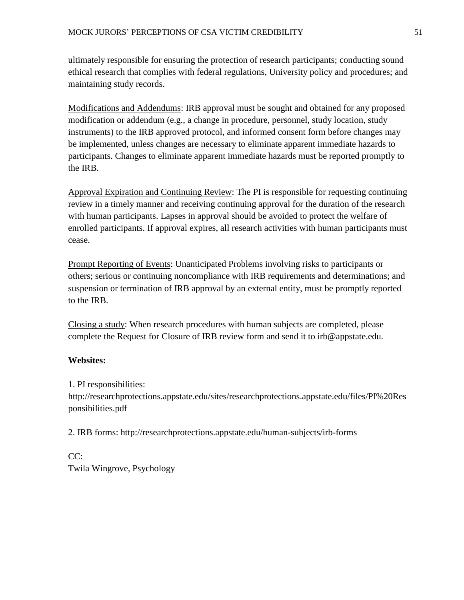ultimately responsible for ensuring the protection of research participants; conducting sound ethical research that complies with federal regulations, University policy and procedures; and maintaining study records.

Modifications and Addendums: IRB approval must be sought and obtained for any proposed modification or addendum (e.g., a change in procedure, personnel, study location, study instruments) to the IRB approved protocol, and informed consent form before changes may be implemented, unless changes are necessary to eliminate apparent immediate hazards to participants. Changes to eliminate apparent immediate hazards must be reported promptly to the IRB.

Approval Expiration and Continuing Review: The PI is responsible for requesting continuing review in a timely manner and receiving continuing approval for the duration of the research with human participants. Lapses in approval should be avoided to protect the welfare of enrolled participants. If approval expires, all research activities with human participants must cease.

Prompt Reporting of Events: Unanticipated Problems involving risks to participants or others; serious or continuing noncompliance with IRB requirements and determinations; and suspension or termination of IRB approval by an external entity, must be promptly reported to the IRB.

Closing a study: When research procedures with human subjects are completed, please complete the Request for Closure of IRB review form and send it to irb@appstate.edu.

# **Websites:**

1. PI responsibilities:

http://researchprotections.appstate.edu/sites/researchprotections.appstate.edu/files/PI%20Res ponsibilities.pdf

2. IRB forms: http://researchprotections.appstate.edu/human-subjects/irb-forms

CC: Twila Wingrove, Psychology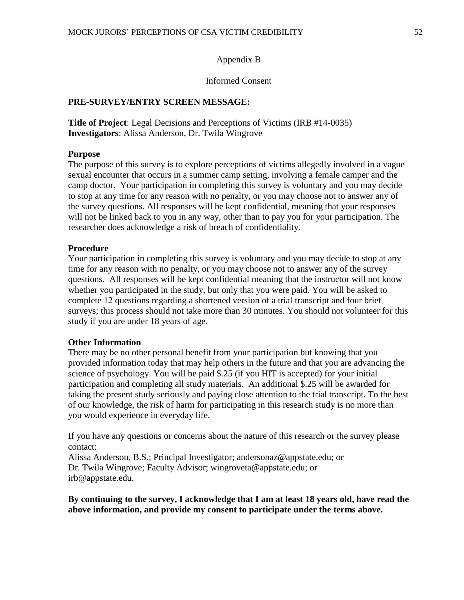#### Appendix B

#### Informed Consent

### **PRE-SURVEY/ENTRY SCREEN MESSAGE:**

**Title of Project**: Legal Decisions and Perceptions of Victims (IRB #14-0035) **Investigators**: Alissa Anderson, Dr. Twila Wingrove

#### **Purpose**

The purpose of this survey is to explore perceptions of victims allegedly involved in a vague sexual encounter that occurs in a summer camp setting, involving a female camper and the camp doctor. Your participation in completing this survey is voluntary and you may decide to stop at any time for any reason with no penalty, or you may choose not to answer any of the survey questions. All responses will be kept confidential, meaning that your responses will not be linked back to you in any way, other than to pay you for your participation. The researcher does acknowledge a risk of breach of confidentiality.

#### **Procedure**

Your participation in completing this survey is voluntary and you may decide to stop at any time for any reason with no penalty, or you may choose not to answer any of the survey questions. All responses will be kept confidential meaning that the instructor will not know whether you participated in the study, but only that you were paid. You will be asked to complete 12 questions regarding a shortened version of a trial transcript and four brief surveys; this process should not take more than 30 minutes. You should not volunteer for this study if you are under 18 years of age.

#### **Other Information**

There may be no other personal benefit from your participation but knowing that you provided information today that may help others in the future and that you are advancing the science of psychology. You will be paid \$.25 (if you HIT is accepted) for your initial participation and completing all study materials. An additional \$.25 will be awarded for taking the present study seriously and paying close attention to the trial transcript. To the best of our knowledge, the risk of harm for participating in this research study is no more than you would experience in everyday life.

If you have any questions or concerns about the nature of this research or the survey please contact:

Alissa Anderson, B.S.; Principal Investigator; andersonaz@appstate.edu; or Dr. Twila Wingrove; Faculty Advisor; wingroveta@appstate.edu; or irb@appstate.edu.

**By continuing to the survey, I acknowledge that I am at least 18 years old, have read the above information, and provide my consent to participate under the terms above.**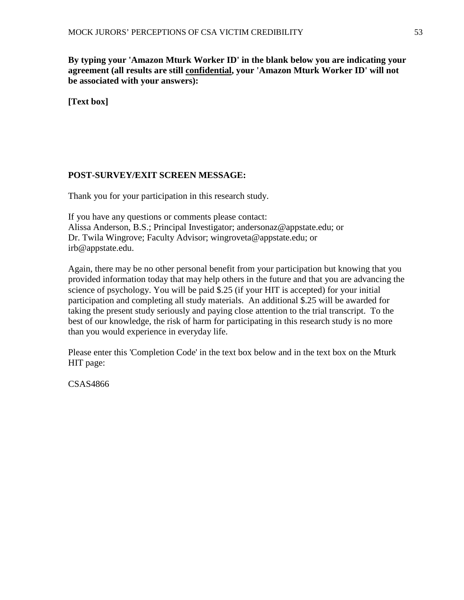**By typing your 'Amazon Mturk Worker ID' in the blank below you are indicating your agreement (all results are still confidential, your 'Amazon Mturk Worker ID' will not be associated with your answers):**

# **[Text box]**

# **POST-SURVEY/EXIT SCREEN MESSAGE:**

Thank you for your participation in this research study.

If you have any questions or comments please contact: Alissa Anderson, B.S.; Principal Investigator; andersonaz@appstate.edu; or Dr. Twila Wingrove; Faculty Advisor; wingroveta@appstate.edu; or irb@appstate.edu.

Again, there may be no other personal benefit from your participation but knowing that you provided information today that may help others in the future and that you are advancing the science of psychology. You will be paid \$.25 (if your HIT is accepted) for your initial participation and completing all study materials. An additional \$.25 will be awarded for taking the present study seriously and paying close attention to the trial transcript. To the best of our knowledge, the risk of harm for participating in this research study is no more than you would experience in everyday life.

Please enter this 'Completion Code' in the text box below and in the text box on the Mturk HIT page:

CSAS4866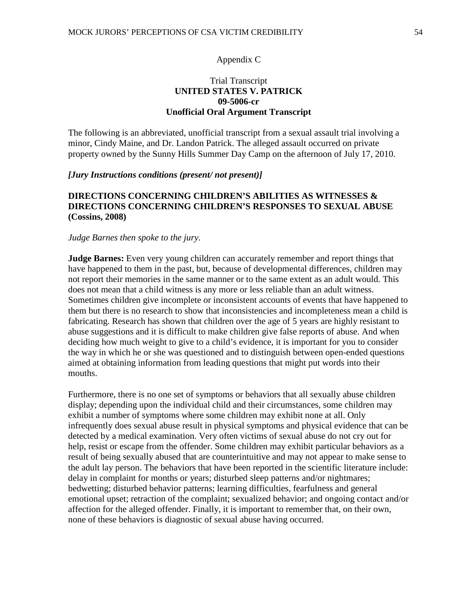### Appendix C

# Trial Transcript **UNITED STATES V. PATRICK 09-5006-cr Unofficial Oral Argument Transcript**

The following is an abbreviated, unofficial transcript from a sexual assault trial involving a minor, Cindy Maine, and Dr. Landon Patrick. The alleged assault occurred on private property owned by the Sunny Hills Summer Day Camp on the afternoon of July 17, 2010.

#### *[Jury Instructions conditions (present/ not present)]*

# **DIRECTIONS CONCERNING CHILDREN'S ABILITIES AS WITNESSES & DIRECTIONS CONCERNING CHILDREN'S RESPONSES TO SEXUAL ABUSE (Cossins, 2008)**

### *Judge Barnes then spoke to the jury.*

**Judge Barnes:** Even very young children can accurately remember and report things that have happened to them in the past, but, because of developmental differences, children may not report their memories in the same manner or to the same extent as an adult would. This does not mean that a child witness is any more or less reliable than an adult witness. Sometimes children give incomplete or inconsistent accounts of events that have happened to them but there is no research to show that inconsistencies and incompleteness mean a child is fabricating. Research has shown that children over the age of 5 years are highly resistant to abuse suggestions and it is difficult to make children give false reports of abuse. And when deciding how much weight to give to a child's evidence, it is important for you to consider the way in which he or she was questioned and to distinguish between open-ended questions aimed at obtaining information from leading questions that might put words into their mouths.

Furthermore, there is no one set of symptoms or behaviors that all sexually abuse children display; depending upon the individual child and their circumstances, some children may exhibit a number of symptoms where some children may exhibit none at all. Only infrequently does sexual abuse result in physical symptoms and physical evidence that can be detected by a medical examination. Very often victims of sexual abuse do not cry out for help, resist or escape from the offender. Some children may exhibit particular behaviors as a result of being sexually abused that are counterintuitive and may not appear to make sense to the adult lay person. The behaviors that have been reported in the scientific literature include: delay in complaint for months or years; disturbed sleep patterns and/or nightmares; bedwetting; disturbed behavior patterns; learning difficulties, fearfulness and general emotional upset; retraction of the complaint; sexualized behavior; and ongoing contact and/or affection for the alleged offender. Finally, it is important to remember that, on their own, none of these behaviors is diagnostic of sexual abuse having occurred.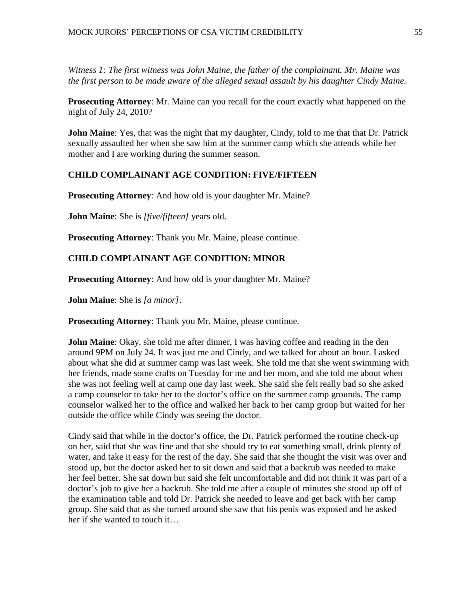*Witness 1: The first witness was John Maine, the father of the complainant. Mr. Maine was the first person to be made aware of the alleged sexual assault by his daughter Cindy Maine.*

**Prosecuting Attorney**: Mr. Maine can you recall for the court exactly what happened on the night of July 24, 2010?

**John Maine**: Yes, that was the night that my daughter, Cindy, told to me that that Dr. Patrick sexually assaulted her when she saw him at the summer camp which she attends while her mother and I are working during the summer season.

# **CHILD COMPLAINANT AGE CONDITION: FIVE/FIFTEEN**

**Prosecuting Attorney**: And how old is your daughter Mr. Maine?

**John Maine**: She is *[five/fifteen]* years old.

**Prosecuting Attorney**: Thank you Mr. Maine, please continue.

# **CHILD COMPLAINANT AGE CONDITION: MINOR**

**Prosecuting Attorney**: And how old is your daughter Mr. Maine?

**John Maine**: She is *[a minor]*.

**Prosecuting Attorney**: Thank you Mr. Maine, please continue.

**John Maine**: Okay, she told me after dinner, I was having coffee and reading in the den around 9PM on July 24. It was just me and Cindy, and we talked for about an hour. I asked about what she did at summer camp was last week. She told me that she went swimming with her friends, made some crafts on Tuesday for me and her mom, and she told me about when she was not feeling well at camp one day last week. She said she felt really bad so she asked a camp counselor to take her to the doctor's office on the summer camp grounds. The camp counselor walked her to the office and walked her back to her camp group but waited for her outside the office while Cindy was seeing the doctor.

Cindy said that while in the doctor's office, the Dr. Patrick performed the routine check-up on her, said that she was fine and that she should try to eat something small, drink plenty of water, and take it easy for the rest of the day. She said that she thought the visit was over and stood up, but the doctor asked her to sit down and said that a backrub was needed to make her feel better. She sat down but said she felt uncomfortable and did not think it was part of a doctor's job to give her a backrub. She told me after a couple of minutes she stood up off of the examination table and told Dr. Patrick she needed to leave and get back with her camp group. She said that as she turned around she saw that his penis was exposed and he asked her if she wanted to touch it…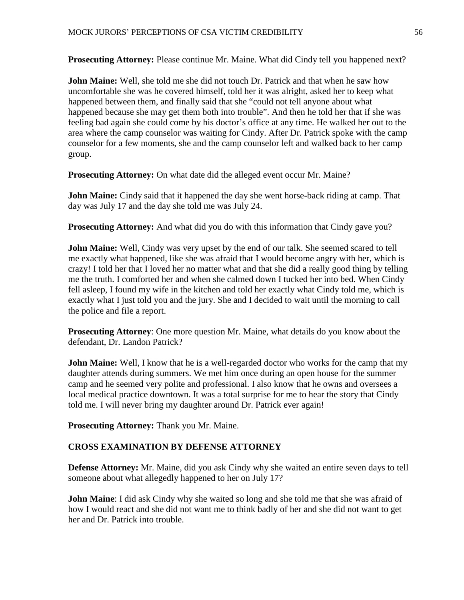**Prosecuting Attorney:** Please continue Mr. Maine. What did Cindy tell you happened next?

**John Maine:** Well, she told me she did not touch Dr. Patrick and that when he saw how uncomfortable she was he covered himself, told her it was alright, asked her to keep what happened between them, and finally said that she "could not tell anyone about what happened because she may get them both into trouble". And then he told her that if she was feeling bad again she could come by his doctor's office at any time. He walked her out to the area where the camp counselor was waiting for Cindy. After Dr. Patrick spoke with the camp counselor for a few moments, she and the camp counselor left and walked back to her camp group.

**Prosecuting Attorney:** On what date did the alleged event occur Mr. Maine?

**John Maine:** Cindy said that it happened the day she went horse-back riding at camp. That day was July 17 and the day she told me was July 24.

**Prosecuting Attorney:** And what did you do with this information that Cindy gave you?

**John Maine:** Well, Cindy was very upset by the end of our talk. She seemed scared to tell me exactly what happened, like she was afraid that I would become angry with her, which is crazy! I told her that I loved her no matter what and that she did a really good thing by telling me the truth. I comforted her and when she calmed down I tucked her into bed. When Cindy fell asleep, I found my wife in the kitchen and told her exactly what Cindy told me, which is exactly what I just told you and the jury. She and I decided to wait until the morning to call the police and file a report.

**Prosecuting Attorney**: One more question Mr. Maine, what details do you know about the defendant, Dr. Landon Patrick?

**John Maine:** Well, I know that he is a well-regarded doctor who works for the camp that my daughter attends during summers. We met him once during an open house for the summer camp and he seemed very polite and professional. I also know that he owns and oversees a local medical practice downtown. It was a total surprise for me to hear the story that Cindy told me. I will never bring my daughter around Dr. Patrick ever again!

**Prosecuting Attorney:** Thank you Mr. Maine.

# **CROSS EXAMINATION BY DEFENSE ATTORNEY**

**Defense Attorney:** Mr. Maine, did you ask Cindy why she waited an entire seven days to tell someone about what allegedly happened to her on July 17?

**John Maine**: I did ask Cindy why she waited so long and she told me that she was afraid of how I would react and she did not want me to think badly of her and she did not want to get her and Dr. Patrick into trouble.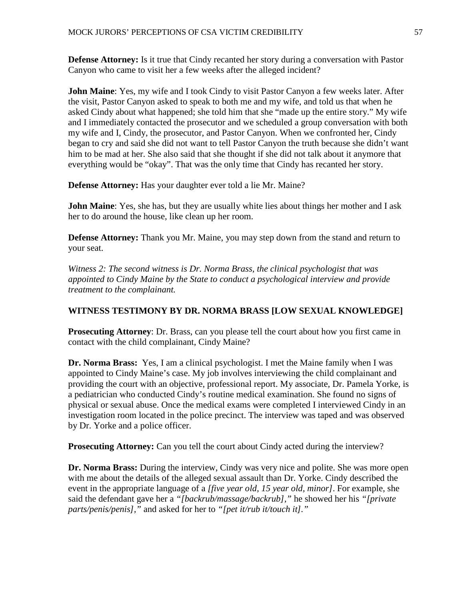**Defense Attorney:** Is it true that Cindy recanted her story during a conversation with Pastor Canyon who came to visit her a few weeks after the alleged incident?

**John Maine**: Yes, my wife and I took Cindy to visit Pastor Canyon a few weeks later. After the visit, Pastor Canyon asked to speak to both me and my wife, and told us that when he asked Cindy about what happened; she told him that she "made up the entire story." My wife and I immediately contacted the prosecutor and we scheduled a group conversation with both my wife and I, Cindy, the prosecutor, and Pastor Canyon. When we confronted her, Cindy began to cry and said she did not want to tell Pastor Canyon the truth because she didn't want him to be mad at her. She also said that she thought if she did not talk about it anymore that everything would be "okay". That was the only time that Cindy has recanted her story.

**Defense Attorney:** Has your daughter ever told a lie Mr. Maine?

**John Maine**: Yes, she has, but they are usually white lies about things her mother and I ask her to do around the house, like clean up her room.

**Defense Attorney:** Thank you Mr. Maine, you may step down from the stand and return to your seat.

*Witness 2: The second witness is Dr. Norma Brass, the clinical psychologist that was appointed to Cindy Maine by the State to conduct a psychological interview and provide treatment to the complainant.* 

## **WITNESS TESTIMONY BY DR. NORMA BRASS [LOW SEXUAL KNOWLEDGE]**

**Prosecuting Attorney**: Dr. Brass, can you please tell the court about how you first came in contact with the child complainant, Cindy Maine?

**Dr. Norma Brass:** Yes, I am a clinical psychologist. I met the Maine family when I was appointed to Cindy Maine's case. My job involves interviewing the child complainant and providing the court with an objective, professional report. My associate, Dr. Pamela Yorke, is a pediatrician who conducted Cindy's routine medical examination. She found no signs of physical or sexual abuse. Once the medical exams were completed I interviewed Cindy in an investigation room located in the police precinct. The interview was taped and was observed by Dr. Yorke and a police officer.

**Prosecuting Attorney:** Can you tell the court about Cindy acted during the interview?

**Dr. Norma Brass:** During the interview, Cindy was very nice and polite. She was more open with me about the details of the alleged sexual assault than Dr. Yorke. Cindy described the event in the appropriate language of a *[five year old, 15 year old, minor]*. For example, she said the defendant gave her a *"[backrub/massage/backrub],"* he showed her his *"[private parts/penis/penis],"* and asked for her to *"[pet it/rub it/touch it]."*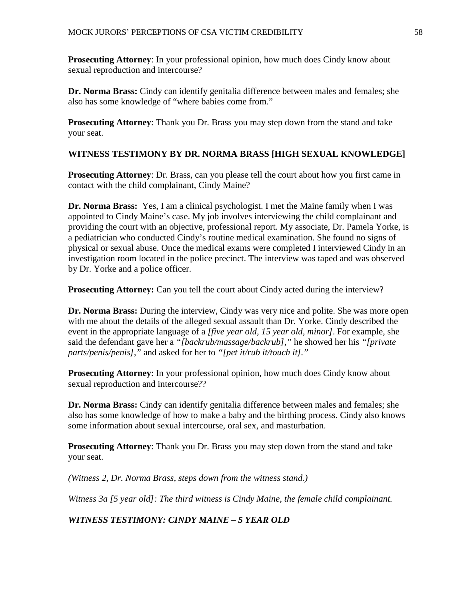**Prosecuting Attorney**: In your professional opinion, how much does Cindy know about sexual reproduction and intercourse?

**Dr. Norma Brass:** Cindy can identify genitalia difference between males and females; she also has some knowledge of "where babies come from."

**Prosecuting Attorney**: Thank you Dr. Brass you may step down from the stand and take your seat.

# **WITNESS TESTIMONY BY DR. NORMA BRASS [HIGH SEXUAL KNOWLEDGE]**

**Prosecuting Attorney**: Dr. Brass, can you please tell the court about how you first came in contact with the child complainant, Cindy Maine?

**Dr. Norma Brass:** Yes, I am a clinical psychologist. I met the Maine family when I was appointed to Cindy Maine's case. My job involves interviewing the child complainant and providing the court with an objective, professional report. My associate, Dr. Pamela Yorke, is a pediatrician who conducted Cindy's routine medical examination. She found no signs of physical or sexual abuse. Once the medical exams were completed I interviewed Cindy in an investigation room located in the police precinct. The interview was taped and was observed by Dr. Yorke and a police officer.

**Prosecuting Attorney:** Can you tell the court about Cindy acted during the interview?

**Dr. Norma Brass:** During the interview, Cindy was very nice and polite. She was more open with me about the details of the alleged sexual assault than Dr. Yorke. Cindy described the event in the appropriate language of a *[five year old, 15 year old, minor]*. For example, she said the defendant gave her a *"[backrub/massage/backrub],"* he showed her his *"[private parts/penis/penis],"* and asked for her to *"[pet it/rub it/touch it]."*

**Prosecuting Attorney:** In your professional opinion, how much does Cindy know about sexual reproduction and intercourse??

**Dr. Norma Brass:** Cindy can identify genitalia difference between males and females; she also has some knowledge of how to make a baby and the birthing process. Cindy also knows some information about sexual intercourse, oral sex, and masturbation.

**Prosecuting Attorney**: Thank you Dr. Brass you may step down from the stand and take your seat.

*(Witness 2, Dr. Norma Brass, steps down from the witness stand.)*

*Witness 3a [5 year old]: The third witness is Cindy Maine, the female child complainant.* 

*WITNESS TESTIMONY: CINDY MAINE – 5 YEAR OLD*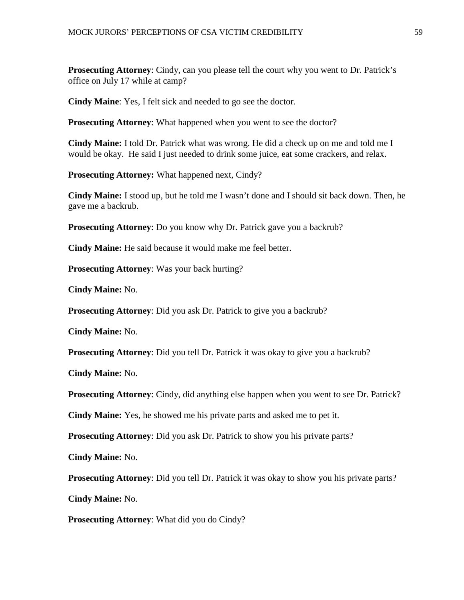**Prosecuting Attorney**: Cindy, can you please tell the court why you went to Dr. Patrick's office on July 17 while at camp?

**Cindy Maine**: Yes, I felt sick and needed to go see the doctor.

**Prosecuting Attorney**: What happened when you went to see the doctor?

**Cindy Maine:** I told Dr. Patrick what was wrong. He did a check up on me and told me I would be okay. He said I just needed to drink some juice, eat some crackers, and relax.

**Prosecuting Attorney:** What happened next, Cindy?

**Cindy Maine:** I stood up, but he told me I wasn't done and I should sit back down. Then, he gave me a backrub.

**Prosecuting Attorney**: Do you know why Dr. Patrick gave you a backrub?

**Cindy Maine:** He said because it would make me feel better.

**Prosecuting Attorney**: Was your back hurting?

**Cindy Maine:** No.

**Prosecuting Attorney**: Did you ask Dr. Patrick to give you a backrub?

**Cindy Maine:** No.

**Prosecuting Attorney**: Did you tell Dr. Patrick it was okay to give you a backrub?

**Cindy Maine:** No.

**Prosecuting Attorney**: Cindy, did anything else happen when you went to see Dr. Patrick?

**Cindy Maine:** Yes, he showed me his private parts and asked me to pet it.

**Prosecuting Attorney**: Did you ask Dr. Patrick to show you his private parts?

**Cindy Maine:** No.

**Prosecuting Attorney**: Did you tell Dr. Patrick it was okay to show you his private parts?

**Cindy Maine:** No.

**Prosecuting Attorney**: What did you do Cindy?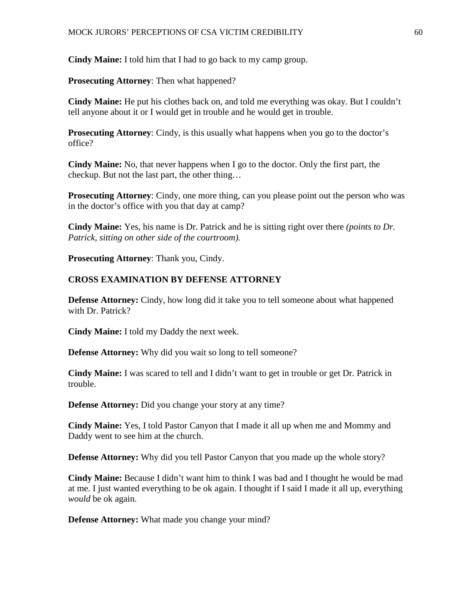**Cindy Maine:** I told him that I had to go back to my camp group.

**Prosecuting Attorney**: Then what happened?

**Cindy Maine:** He put his clothes back on, and told me everything was okay. But I couldn't tell anyone about it or I would get in trouble and he would get in trouble.

**Prosecuting Attorney**: Cindy, is this usually what happens when you go to the doctor's office?

**Cindy Maine:** No, that never happens when I go to the doctor. Only the first part, the checkup. But not the last part, the other thing…

**Prosecuting Attorney**: Cindy, one more thing, can you please point out the person who was in the doctor's office with you that day at camp?

**Cindy Maine:** Yes, his name is Dr. Patrick and he is sitting right over there *(points to Dr. Patrick, sitting on other side of the courtroom).*

**Prosecuting Attorney**: Thank you, Cindy.

## **CROSS EXAMINATION BY DEFENSE ATTORNEY**

**Defense Attorney:** Cindy, how long did it take you to tell someone about what happened with Dr. Patrick?

**Cindy Maine:** I told my Daddy the next week.

**Defense Attorney:** Why did you wait so long to tell someone?

**Cindy Maine:** I was scared to tell and I didn't want to get in trouble or get Dr. Patrick in trouble.

**Defense Attorney:** Did you change your story at any time?

**Cindy Maine:** Yes, I told Pastor Canyon that I made it all up when me and Mommy and Daddy went to see him at the church.

**Defense Attorney:** Why did you tell Pastor Canyon that you made up the whole story?

**Cindy Maine:** Because I didn't want him to think I was bad and I thought he would be mad at me. I just wanted everything to be ok again. I thought if I said I made it all up, everything *would* be ok again.

**Defense Attorney:** What made you change your mind?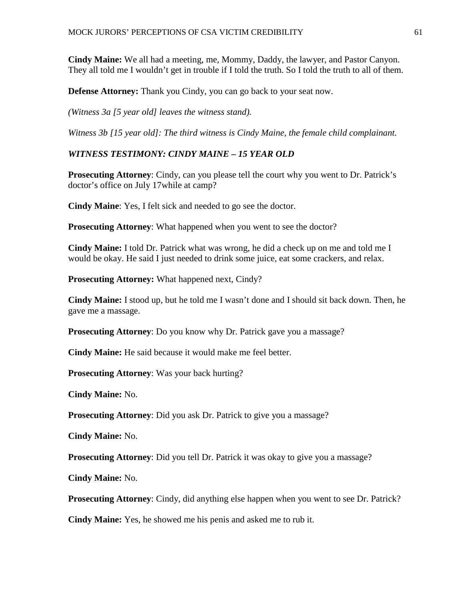**Cindy Maine:** We all had a meeting, me, Mommy, Daddy, the lawyer, and Pastor Canyon. They all told me I wouldn't get in trouble if I told the truth. So I told the truth to all of them.

**Defense Attorney:** Thank you Cindy, you can go back to your seat now.

*(Witness 3a [5 year old] leaves the witness stand).*

*Witness 3b [15 year old]: The third witness is Cindy Maine, the female child complainant.* 

# *WITNESS TESTIMONY: CINDY MAINE – 15 YEAR OLD*

**Prosecuting Attorney**: Cindy, can you please tell the court why you went to Dr. Patrick's doctor's office on July 17while at camp?

**Cindy Maine**: Yes, I felt sick and needed to go see the doctor.

**Prosecuting Attorney**: What happened when you went to see the doctor?

**Cindy Maine:** I told Dr. Patrick what was wrong, he did a check up on me and told me I would be okay. He said I just needed to drink some juice, eat some crackers, and relax.

**Prosecuting Attorney:** What happened next, Cindy?

**Cindy Maine:** I stood up, but he told me I wasn't done and I should sit back down. Then, he gave me a massage.

**Prosecuting Attorney**: Do you know why Dr. Patrick gave you a massage?

**Cindy Maine:** He said because it would make me feel better.

**Prosecuting Attorney**: Was your back hurting?

**Cindy Maine:** No.

**Prosecuting Attorney**: Did you ask Dr. Patrick to give you a massage?

**Cindy Maine:** No.

**Prosecuting Attorney**: Did you tell Dr. Patrick it was okay to give you a massage?

**Cindy Maine:** No.

**Prosecuting Attorney**: Cindy, did anything else happen when you went to see Dr. Patrick?

**Cindy Maine:** Yes, he showed me his penis and asked me to rub it.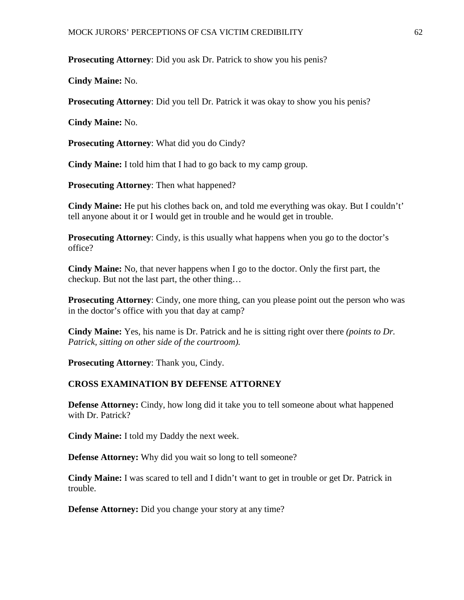**Prosecuting Attorney**: Did you ask Dr. Patrick to show you his penis?

**Cindy Maine:** No.

**Prosecuting Attorney**: Did you tell Dr. Patrick it was okay to show you his penis?

**Cindy Maine:** No.

**Prosecuting Attorney**: What did you do Cindy?

**Cindy Maine:** I told him that I had to go back to my camp group.

**Prosecuting Attorney**: Then what happened?

**Cindy Maine:** He put his clothes back on, and told me everything was okay. But I couldn't' tell anyone about it or I would get in trouble and he would get in trouble.

**Prosecuting Attorney**: Cindy, is this usually what happens when you go to the doctor's office?

**Cindy Maine:** No, that never happens when I go to the doctor. Only the first part, the checkup. But not the last part, the other thing…

**Prosecuting Attorney**: Cindy, one more thing, can you please point out the person who was in the doctor's office with you that day at camp?

**Cindy Maine:** Yes, his name is Dr. Patrick and he is sitting right over there *(points to Dr. Patrick, sitting on other side of the courtroom).*

**Prosecuting Attorney**: Thank you, Cindy.

## **CROSS EXAMINATION BY DEFENSE ATTORNEY**

**Defense Attorney:** Cindy, how long did it take you to tell someone about what happened with Dr. Patrick?

**Cindy Maine:** I told my Daddy the next week.

**Defense Attorney:** Why did you wait so long to tell someone?

**Cindy Maine:** I was scared to tell and I didn't want to get in trouble or get Dr. Patrick in trouble.

**Defense Attorney:** Did you change your story at any time?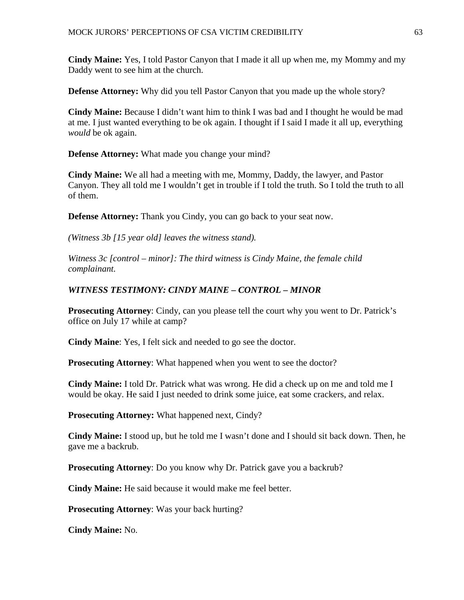**Cindy Maine:** Yes, I told Pastor Canyon that I made it all up when me, my Mommy and my Daddy went to see him at the church.

**Defense Attorney:** Why did you tell Pastor Canyon that you made up the whole story?

**Cindy Maine:** Because I didn't want him to think I was bad and I thought he would be mad at me. I just wanted everything to be ok again. I thought if I said I made it all up, everything *would* be ok again.

**Defense Attorney:** What made you change your mind?

**Cindy Maine:** We all had a meeting with me, Mommy, Daddy, the lawyer, and Pastor Canyon. They all told me I wouldn't get in trouble if I told the truth. So I told the truth to all of them.

**Defense Attorney:** Thank you Cindy, you can go back to your seat now.

*(Witness 3b [15 year old] leaves the witness stand).*

*Witness 3c [control – minor]: The third witness is Cindy Maine, the female child complainant.* 

# *WITNESS TESTIMONY: CINDY MAINE – CONTROL – MINOR*

**Prosecuting Attorney**: Cindy, can you please tell the court why you went to Dr. Patrick's office on July 17 while at camp?

**Cindy Maine**: Yes, I felt sick and needed to go see the doctor.

**Prosecuting Attorney:** What happened when you went to see the doctor?

**Cindy Maine:** I told Dr. Patrick what was wrong. He did a check up on me and told me I would be okay. He said I just needed to drink some juice, eat some crackers, and relax.

**Prosecuting Attorney:** What happened next, Cindy?

**Cindy Maine:** I stood up, but he told me I wasn't done and I should sit back down. Then, he gave me a backrub.

**Prosecuting Attorney**: Do you know why Dr. Patrick gave you a backrub?

**Cindy Maine:** He said because it would make me feel better.

**Prosecuting Attorney**: Was your back hurting?

**Cindy Maine:** No.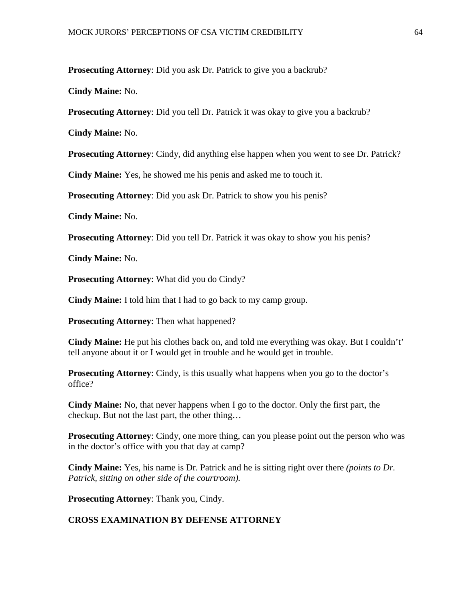**Prosecuting Attorney**: Did you ask Dr. Patrick to give you a backrub?

**Cindy Maine:** No.

**Prosecuting Attorney**: Did you tell Dr. Patrick it was okay to give you a backrub?

**Cindy Maine:** No.

**Prosecuting Attorney**: Cindy, did anything else happen when you went to see Dr. Patrick?

**Cindy Maine:** Yes, he showed me his penis and asked me to touch it.

**Prosecuting Attorney**: Did you ask Dr. Patrick to show you his penis?

**Cindy Maine:** No.

**Prosecuting Attorney**: Did you tell Dr. Patrick it was okay to show you his penis?

**Cindy Maine:** No.

**Prosecuting Attorney**: What did you do Cindy?

**Cindy Maine:** I told him that I had to go back to my camp group.

**Prosecuting Attorney**: Then what happened?

**Cindy Maine:** He put his clothes back on, and told me everything was okay. But I couldn't' tell anyone about it or I would get in trouble and he would get in trouble.

**Prosecuting Attorney:** Cindy, is this usually what happens when you go to the doctor's office?

**Cindy Maine:** No, that never happens when I go to the doctor. Only the first part, the checkup. But not the last part, the other thing…

**Prosecuting Attorney**: Cindy, one more thing, can you please point out the person who was in the doctor's office with you that day at camp?

**Cindy Maine:** Yes, his name is Dr. Patrick and he is sitting right over there *(points to Dr. Patrick, sitting on other side of the courtroom).*

**Prosecuting Attorney**: Thank you, Cindy.

## **CROSS EXAMINATION BY DEFENSE ATTORNEY**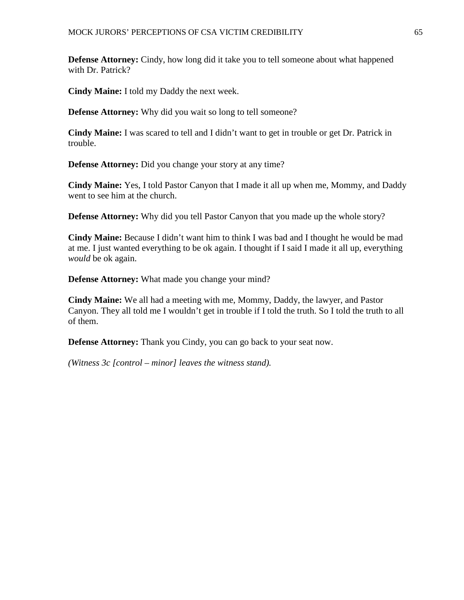**Defense Attorney:** Cindy, how long did it take you to tell someone about what happened with Dr. Patrick?

**Cindy Maine:** I told my Daddy the next week.

**Defense Attorney:** Why did you wait so long to tell someone?

**Cindy Maine:** I was scared to tell and I didn't want to get in trouble or get Dr. Patrick in trouble.

**Defense Attorney:** Did you change your story at any time?

**Cindy Maine:** Yes, I told Pastor Canyon that I made it all up when me, Mommy, and Daddy went to see him at the church.

**Defense Attorney:** Why did you tell Pastor Canyon that you made up the whole story?

**Cindy Maine:** Because I didn't want him to think I was bad and I thought he would be mad at me. I just wanted everything to be ok again. I thought if I said I made it all up, everything *would* be ok again.

**Defense Attorney:** What made you change your mind?

**Cindy Maine:** We all had a meeting with me, Mommy, Daddy, the lawyer, and Pastor Canyon. They all told me I wouldn't get in trouble if I told the truth. So I told the truth to all of them.

**Defense Attorney:** Thank you Cindy, you can go back to your seat now.

*(Witness 3c [control – minor] leaves the witness stand).*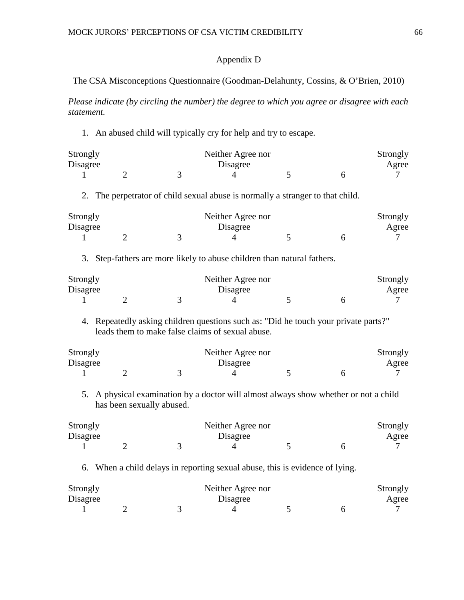## Appendix D

## The CSA Misconceptions Questionnaire (Goodman-Delahunty, Cossins, & O'Brien, 2010)

*Please indicate (by circling the number) the degree to which you agree or disagree with each statement.*

1. An abused child will typically cry for help and try to escape.

| Strongly |  | Neither Agree nor |  | Strongly |
|----------|--|-------------------|--|----------|
| Disagree |  | Disagree          |  | Agree    |
|          |  |                   |  |          |

2. The perpetrator of child sexual abuse is normally a stranger to that child.

| Strongly |  | Neither Agree nor |  | Strongly |
|----------|--|-------------------|--|----------|
| Disagree |  | Disagree          |  | Agree    |
|          |  |                   |  |          |

3. Step-fathers are more likely to abuse children than natural fathers.

| Strongly |  | Neither Agree nor |  | Strongly |
|----------|--|-------------------|--|----------|
| Disagree |  | Disagree          |  | Agree    |
|          |  |                   |  |          |

4. Repeatedly asking children questions such as: "Did he touch your private parts?" leads them to make false claims of sexual abuse.

| Strongly |  | Neither Agree nor |  | Strongly |
|----------|--|-------------------|--|----------|
| Disagree |  | Disagree          |  | Agree    |
|          |  |                   |  |          |

5. A physical examination by a doctor will almost always show whether or not a child has been sexually abused.

| Strongly |  | Neither Agree nor |  | Strongly |
|----------|--|-------------------|--|----------|
| Disagree |  | Disagree          |  | Agree    |
|          |  |                   |  |          |

6. When a child delays in reporting sexual abuse, this is evidence of lying.

| Strongly |  | Neither Agree nor |  | Strongly |
|----------|--|-------------------|--|----------|
| Disagree |  | Disagree          |  | Agree    |
|          |  |                   |  |          |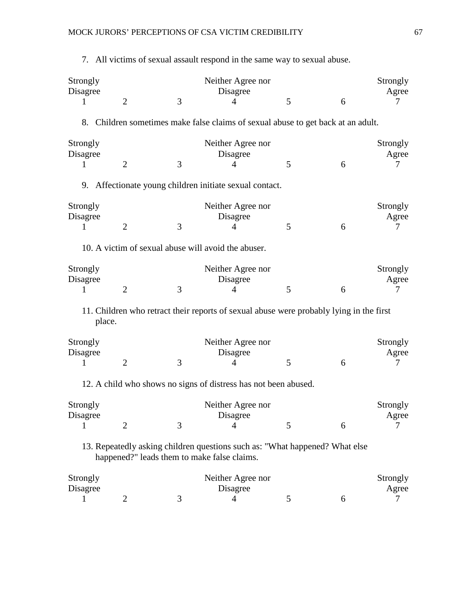| Strongly<br>Disagree<br>1 | $\overline{2}$ | 3                                                                                                                          | Neither Agree nor<br>Disagree<br>$\overline{4}$ | 5 | 6 | Strongly<br>Agree<br>7 |
|---------------------------|----------------|----------------------------------------------------------------------------------------------------------------------------|-------------------------------------------------|---|---|------------------------|
|                           |                | 8. Children sometimes make false claims of sexual abuse to get back at an adult.                                           |                                                 |   |   |                        |
| Strongly<br>Disagree<br>1 | $\overline{2}$ | 3                                                                                                                          | Neither Agree nor<br>Disagree<br>4              | 5 | 6 | Strongly<br>Agree<br>7 |
|                           |                | 9. Affectionate young children initiate sexual contact.                                                                    |                                                 |   |   |                        |
| Strongly<br>Disagree<br>1 | $\overline{2}$ | 3                                                                                                                          | Neither Agree nor<br>Disagree<br>4              | 5 | 6 | Strongly<br>Agree<br>7 |
|                           |                | 10. A victim of sexual abuse will avoid the abuser.                                                                        |                                                 |   |   |                        |
| Strongly<br>Disagree<br>1 | $\overline{2}$ | 3                                                                                                                          | Neither Agree nor<br>Disagree<br>4              | 5 | 6 | Strongly<br>Agree<br>7 |
| place.                    |                | 11. Children who retract their reports of sexual abuse were probably lying in the first                                    |                                                 |   |   |                        |
| Strongly<br>Disagree<br>1 | $\overline{2}$ | 3                                                                                                                          | Neither Agree nor<br>Disagree<br>4              | 5 | 6 | Strongly<br>Agree<br>7 |
|                           |                | 12. A child who shows no signs of distress has not been abused.                                                            |                                                 |   |   |                        |
| Strongly<br>Disagree<br>1 | $\overline{2}$ | 3                                                                                                                          | Neither Agree nor<br>Disagree<br>$\overline{4}$ | 5 | 6 | Strongly<br>Agree<br>7 |
|                           |                | 13. Repeatedly asking children questions such as: "What happened? What else<br>happened?" leads them to make false claims. |                                                 |   |   |                        |
| Strongly<br>Disagree<br>1 | $\overline{2}$ | 3                                                                                                                          | Neither Agree nor<br>Disagree<br>$\overline{4}$ | 5 | 6 | Strongly<br>Agree<br>7 |

7. All victims of sexual assault respond in the same way to sexual abuse.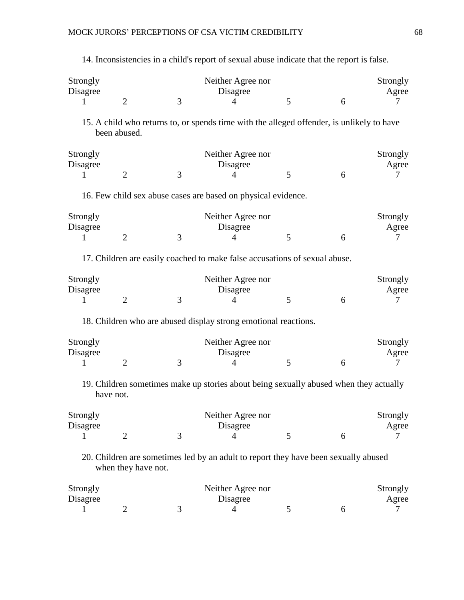| Strongly<br>Disagree<br>$\mathbf{1}$ | 2                   | 3                                                                                         | Neither Agree nor<br>Disagree<br>4              | 5 | 6 | Strongly<br>Agree<br>7 |
|--------------------------------------|---------------------|-------------------------------------------------------------------------------------------|-------------------------------------------------|---|---|------------------------|
|                                      | been abused.        | 15. A child who returns to, or spends time with the alleged offender, is unlikely to have |                                                 |   |   |                        |
| Strongly<br>Disagree<br>1            | $\overline{2}$      | 3                                                                                         | Neither Agree nor<br>Disagree<br>$\overline{4}$ | 5 | 6 | Strongly<br>Agree<br>7 |
|                                      |                     | 16. Few child sex abuse cases are based on physical evidence.                             |                                                 |   |   |                        |
| Strongly<br>Disagree<br>1            | $\overline{2}$      | 3                                                                                         | Neither Agree nor<br>Disagree<br>$\overline{4}$ | 5 | 6 | Strongly<br>Agree<br>7 |
|                                      |                     | 17. Children are easily coached to make false accusations of sexual abuse.                |                                                 |   |   |                        |
| Strongly<br>Disagree<br>1            | $\overline{2}$      | 3                                                                                         | Neither Agree nor<br>Disagree<br>4              | 5 | 6 | Strongly<br>Agree<br>7 |
|                                      |                     | 18. Children who are abused display strong emotional reactions.                           |                                                 |   |   |                        |
| Strongly<br>Disagree<br>1            | $\overline{2}$      | 3                                                                                         | Neither Agree nor<br>Disagree<br>4              | 5 | 6 | Strongly<br>Agree<br>7 |
|                                      | have not.           | 19. Children sometimes make up stories about being sexually abused when they actually     |                                                 |   |   |                        |
| Strongly<br>Disagree<br>1            | $\overline{2}$      | 3                                                                                         | Neither Agree nor<br>Disagree<br>$\overline{4}$ | 5 | 6 | Strongly<br>Agree<br>7 |
|                                      | when they have not. | 20. Children are sometimes led by an adult to report they have been sexually abused       |                                                 |   |   |                        |
| Strongly<br>Disagree<br>1            | $\overline{2}$      | 3                                                                                         | Neither Agree nor<br>Disagree<br>4              | 5 | 6 | Strongly<br>Agree<br>7 |

14. Inconsistencies in a child's report of sexual abuse indicate that the report is false.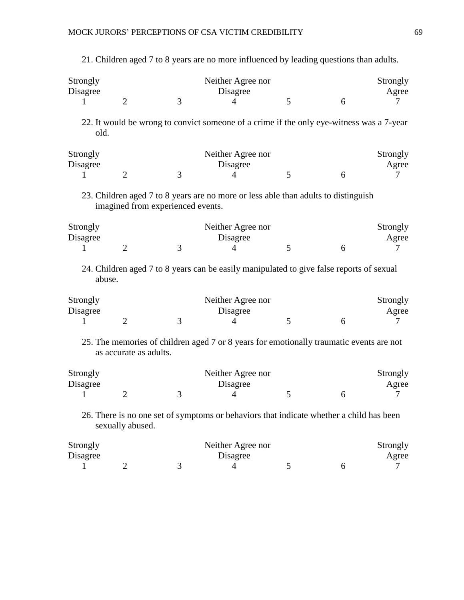| Strongly<br>Disagree<br>$\mathbf{I}$ | 2                                 | 3 | Neither Agree nor<br>Disagree<br>4                                                       | 5 | 6 | Strongly<br>Agree<br>7 |
|--------------------------------------|-----------------------------------|---|------------------------------------------------------------------------------------------|---|---|------------------------|
| old.                                 |                                   |   | 22. It would be wrong to convict someone of a crime if the only eye-witness was a 7-year |   |   |                        |
| Strongly<br>Disagree                 |                                   |   | Neither Agree nor<br>Disagree                                                            |   |   | Strongly<br>Agree      |
| 1                                    | $\overline{2}$                    | 3 | 4                                                                                        | 5 | 6 | 7                      |
|                                      | imagined from experienced events. |   | 23. Children aged 7 to 8 years are no more or less able than adults to distinguish       |   |   |                        |
| Strongly<br>Disagree                 |                                   |   | Neither Agree nor<br>Disagree                                                            |   |   | Strongly<br>Agree      |
| 1                                    | $\overline{2}$                    | 3 | 4                                                                                        | 5 | 6 | 7                      |
| abuse.                               |                                   |   | 24. Children aged 7 to 8 years can be easily manipulated to give false reports of sexual |   |   |                        |
| Strongly                             |                                   |   | Neither Agree nor                                                                        |   |   | Strongly               |
| Disagree                             |                                   |   | Disagree                                                                                 |   |   | Agree                  |
| 1                                    | $\overline{2}$                    | 3 | 4                                                                                        | 5 | 6 | 7                      |
|                                      | as accurate as adults.            |   | 25. The memories of children aged 7 or 8 years for emotionally traumatic events are not  |   |   |                        |
| Strongly                             |                                   |   | Neither Agree nor                                                                        |   |   | Strongly               |
| Disagree                             |                                   |   | Disagree                                                                                 |   |   | Agree                  |
| 1                                    | 2                                 | 3 | 4                                                                                        | 5 | 6 | 7                      |
|                                      | sexually abused.                  |   | 26. There is no one set of symptoms or behaviors that indicate whether a child has been  |   |   |                        |
| Strongly<br>Disagree                 |                                   |   | Neither Agree nor<br>Disagree                                                            |   |   | Strongly<br>Agree      |
| 1                                    | $\overline{c}$                    | 3 | 4                                                                                        | 5 | 6 | 7                      |

21. Children aged 7 to 8 years are no more influenced by leading questions than adults.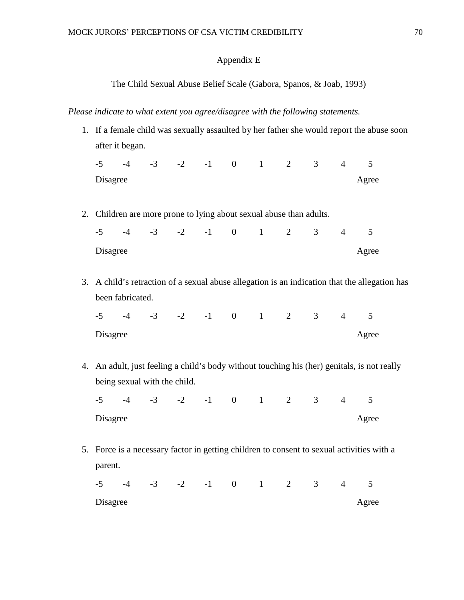# Appendix E

## The Child Sexual Abuse Belief Scale (Gabora, Spanos, & Joab, 1993)

## *Please indicate to what extent you agree/disagree with the following statements.*

|          |                  |                              |  |  |                |                                                                     |          | 1. If a female child was sexually assaulted by her father she would report the abuse soon     |  |
|----------|------------------|------------------------------|--|--|----------------|---------------------------------------------------------------------|----------|-----------------------------------------------------------------------------------------------|--|
|          | after it began.  |                              |  |  |                |                                                                     |          |                                                                                               |  |
|          |                  |                              |  |  |                | $-5$ $-4$ $-3$ $-2$ $-1$ 0 1 2 3 4 5                                |          |                                                                                               |  |
| Disagree |                  |                              |  |  |                |                                                                     |          | Agree                                                                                         |  |
|          |                  |                              |  |  |                |                                                                     |          |                                                                                               |  |
|          |                  |                              |  |  |                | 2. Children are more prone to lying about sexual abuse than adults. |          |                                                                                               |  |
|          |                  | $-5$ $-4$ $-3$ $-2$ $-1$ 0 1 |  |  | $\overline{2}$ |                                                                     | $3 \t 4$ | 5                                                                                             |  |
| Disagree |                  |                              |  |  |                |                                                                     |          | Agree                                                                                         |  |
|          |                  |                              |  |  |                |                                                                     |          |                                                                                               |  |
|          |                  |                              |  |  |                |                                                                     |          | 3. A child's retraction of a sexual abuse allegation is an indication that the allegation has |  |
|          | been fabricated. |                              |  |  |                |                                                                     |          |                                                                                               |  |
|          |                  |                              |  |  |                | $-5$ $-4$ $-3$ $-2$ $-1$ 0 1 2 3 4 5                                |          |                                                                                               |  |
| Disagree |                  |                              |  |  |                |                                                                     |          | Agree                                                                                         |  |
|          |                  |                              |  |  |                |                                                                     |          |                                                                                               |  |
|          |                  |                              |  |  |                |                                                                     |          |                                                                                               |  |
|          |                  |                              |  |  |                |                                                                     |          | 4. An adult, just feeling a child's body without touching his (her) genitals, is not really   |  |
|          |                  | being sexual with the child. |  |  |                |                                                                     |          |                                                                                               |  |
|          |                  |                              |  |  |                | $-5$ $-4$ $-3$ $-2$ $-1$ 0 1 2 3 4 5                                |          |                                                                                               |  |
| Disagree |                  |                              |  |  |                |                                                                     |          | Agree                                                                                         |  |
|          |                  |                              |  |  |                |                                                                     |          |                                                                                               |  |
|          |                  |                              |  |  |                |                                                                     |          | 5. Force is a necessary factor in getting children to consent to sexual activities with a     |  |
| parent.  |                  |                              |  |  |                |                                                                     |          |                                                                                               |  |
|          |                  |                              |  |  |                | $-5$ $-4$ $-3$ $-2$ $-1$ 0 1 2 3 4 5                                |          |                                                                                               |  |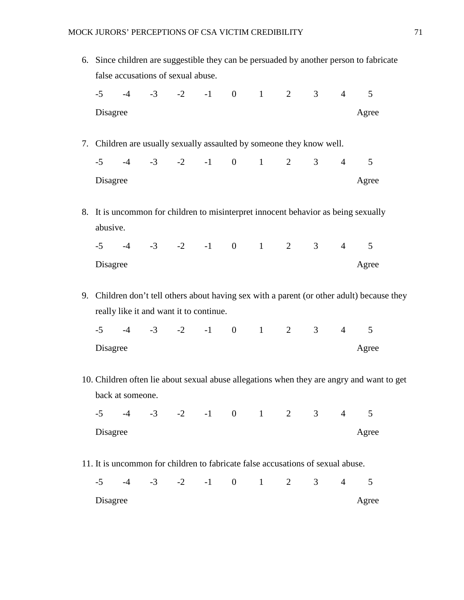|          |                  |                                    |                                                                                 |  |              |                |                | 6. Since children are suggestible they can be persuaded by another person to fabricate     |  |
|----------|------------------|------------------------------------|---------------------------------------------------------------------------------|--|--------------|----------------|----------------|--------------------------------------------------------------------------------------------|--|
|          |                  | false accusations of sexual abuse. |                                                                                 |  |              |                |                |                                                                                            |  |
|          |                  |                                    | $-5$ $-4$ $-3$ $-2$ $-1$ 0 1 2 3 4 5                                            |  |              |                |                |                                                                                            |  |
| Disagree |                  |                                    |                                                                                 |  |              |                |                | Agree                                                                                      |  |
|          |                  |                                    |                                                                                 |  |              |                |                |                                                                                            |  |
|          |                  |                                    | 7. Children are usually sexually assaulted by someone they know well.           |  |              |                |                |                                                                                            |  |
|          |                  |                                    | $-5$ $-4$ $-3$ $-2$ $-1$ 0 1 2 3 4                                              |  |              |                |                | 5                                                                                          |  |
| Disagree |                  |                                    |                                                                                 |  |              |                |                | Agree                                                                                      |  |
|          |                  |                                    |                                                                                 |  |              |                |                |                                                                                            |  |
|          |                  |                                    |                                                                                 |  |              |                |                | 8. It is uncommon for children to misinterpret innocent behavior as being sexually         |  |
| abusive. |                  |                                    |                                                                                 |  |              |                |                |                                                                                            |  |
|          |                  |                                    | $-5$ $-4$ $-3$ $-2$ $-1$ 0 1 2 3 4 5                                            |  |              |                |                |                                                                                            |  |
| Disagree |                  |                                    |                                                                                 |  |              |                |                | Agree                                                                                      |  |
|          |                  |                                    |                                                                                 |  |              |                |                |                                                                                            |  |
|          |                  |                                    |                                                                                 |  |              |                |                | 9. Children don't tell others about having sex with a parent (or other adult) because they |  |
|          |                  |                                    | really like it and want it to continue.                                         |  |              |                |                |                                                                                            |  |
|          |                  |                                    | $-5$ $-4$ $-3$ $-2$ $-1$ 0 1 2 3 4 5                                            |  |              |                |                |                                                                                            |  |
| Disagree |                  |                                    |                                                                                 |  |              |                |                | Agree                                                                                      |  |
|          |                  |                                    |                                                                                 |  |              |                |                | 10. Children often lie about sexual abuse allegations when they are angry and want to get  |  |
|          | back at someone. |                                    |                                                                                 |  |              |                |                |                                                                                            |  |
|          |                  |                                    | $-5$ $-4$ $-3$ $-2$ $-1$ 0 1 2 3                                                |  |              |                | $\overline{4}$ | 5                                                                                          |  |
| Disagree |                  |                                    |                                                                                 |  |              |                |                | Agree                                                                                      |  |
|          |                  |                                    |                                                                                 |  |              |                |                |                                                                                            |  |
|          |                  |                                    |                                                                                 |  |              |                |                |                                                                                            |  |
|          |                  |                                    | 11. It is uncommon for children to fabricate false accusations of sexual abuse. |  |              |                |                |                                                                                            |  |
| $-5$     |                  |                                    | $-4$ $-3$ $-2$ $-1$ 0                                                           |  | $1 \qquad 2$ | 3 <sup>7</sup> | $\overline{4}$ | 5                                                                                          |  |
| Disagree |                  |                                    |                                                                                 |  |              |                |                | Agree                                                                                      |  |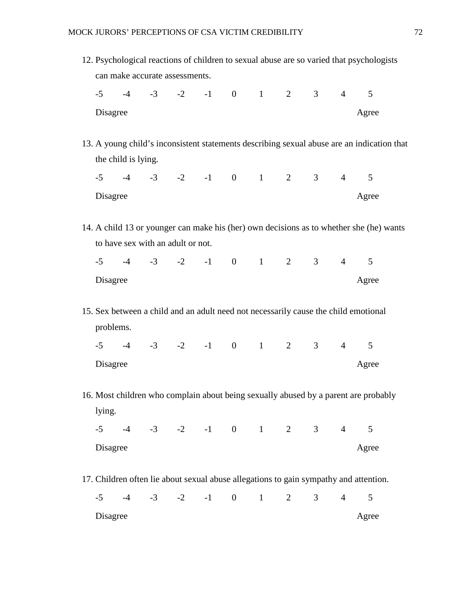|                  |                     |                                      |                    |  |                |                |                | 12. Psychological reactions of children to sexual abuse are so varied that psychologists   |
|------------------|---------------------|--------------------------------------|--------------------|--|----------------|----------------|----------------|--------------------------------------------------------------------------------------------|
|                  |                     | can make accurate assessments.       |                    |  |                |                |                |                                                                                            |
|                  |                     | $-5$ $-4$ $-3$ $-2$ $-1$ 0 1 2 3 4 5 |                    |  |                |                |                |                                                                                            |
| Disagree         |                     |                                      |                    |  |                |                |                | Agree                                                                                      |
|                  |                     |                                      |                    |  |                |                |                |                                                                                            |
|                  |                     |                                      |                    |  |                |                |                | 13. A young child's inconsistent statements describing sexual abuse are an indication that |
|                  | the child is lying. |                                      |                    |  |                |                |                |                                                                                            |
|                  |                     | $-5$ $-4$ $-3$ $-2$ $-1$ 0 1 2 3 4 5 |                    |  |                |                |                |                                                                                            |
| Disagree         |                     |                                      |                    |  |                |                |                | Agree                                                                                      |
|                  |                     |                                      |                    |  |                |                |                |                                                                                            |
|                  |                     |                                      |                    |  |                |                |                | 14. A child 13 or younger can make his (her) own decisions as to whether she (he) wants    |
|                  |                     | to have sex with an adult or not.    |                    |  |                |                |                |                                                                                            |
|                  |                     | $-5$ $-4$ $-3$ $-2$ $-1$ 0 1 2 3 4   |                    |  |                |                |                | 5                                                                                          |
| Disagree         |                     |                                      |                    |  |                |                |                | Agree                                                                                      |
|                  |                     |                                      |                    |  |                |                |                |                                                                                            |
|                  |                     |                                      |                    |  |                |                |                | 15. Sex between a child and an adult need not necessarily cause the child emotional        |
| problems.        |                     |                                      |                    |  |                |                |                |                                                                                            |
|                  |                     |                                      |                    |  |                |                |                |                                                                                            |
|                  |                     | $-5$ $-4$ $-3$ $-2$ $-1$ 0 1 2 3 4   |                    |  |                |                |                | 5                                                                                          |
| Disagree         |                     |                                      |                    |  |                |                |                | Agree                                                                                      |
|                  |                     |                                      |                    |  |                |                |                |                                                                                            |
|                  |                     |                                      |                    |  |                |                |                | 16. Most children who complain about being sexually abused by a parent are probably        |
| lying.           |                     |                                      |                    |  |                |                |                |                                                                                            |
|                  |                     | $-5$ $-4$ $-3$ $-2$ $-1$ 0 1 2 3 4   |                    |  |                |                |                | 5                                                                                          |
| Disagree         |                     |                                      |                    |  |                |                |                | Agree                                                                                      |
|                  |                     |                                      |                    |  |                |                |                |                                                                                            |
|                  |                     |                                      |                    |  |                |                |                | 17. Children often lie about sexual abuse allegations to gain sympathy and attention.      |
| $-5$<br>Disagree | $-4$                |                                      | $-3$ $-2$ $-1$ 0 1 |  | $\overline{2}$ | 3 <sup>7</sup> | $\overline{4}$ | 5<br>Agree                                                                                 |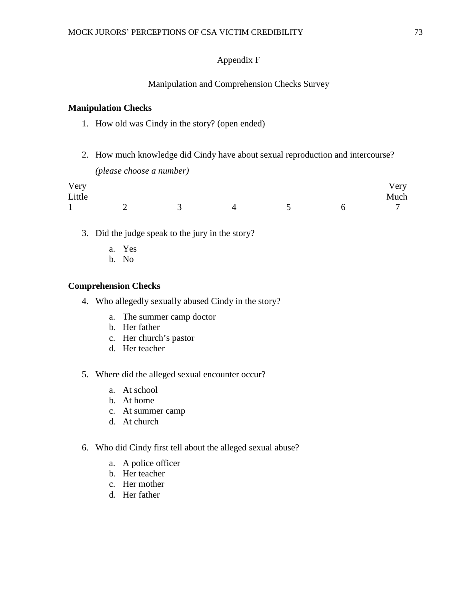## Appendix F

### Manipulation and Comprehension Checks Survey

#### **Manipulation Checks**

- 1. How old was Cindy in the story? (open ended)
- 2. How much knowledge did Cindy have about sexual reproduction and intercourse? *(please choose a number)*

| Very   |  |  | Very |
|--------|--|--|------|
| Little |  |  | Much |
|        |  |  | 7    |

- 3. Did the judge speak to the jury in the story?
	- a. Yes
	- b. No

#### **Comprehension Checks**

- 4. Who allegedly sexually abused Cindy in the story?
	- a. The summer camp doctor
	- b. Her father
	- c. Her church's pastor
	- d. Her teacher
- 5. Where did the alleged sexual encounter occur?
	- a. At school
	- b. At home
	- c. At summer camp
	- d. At church
- 6. Who did Cindy first tell about the alleged sexual abuse?
	- a. A police officer
	- b. Her teacher
	- c. Her mother
	- d. Her father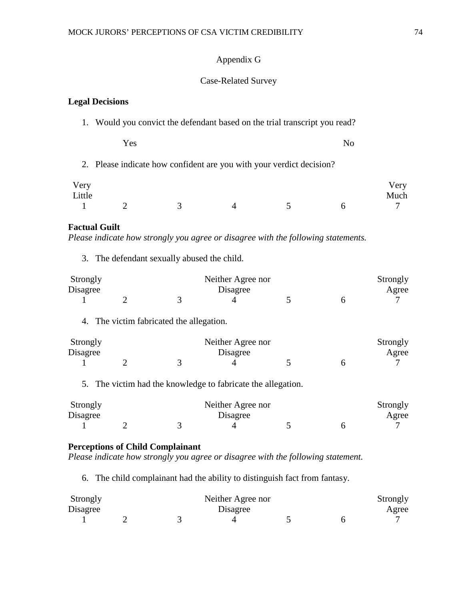## Appendix G

## Case-Related Survey

## **Legal Decisions**

1. Would you convict the defendant based on the trial transcript you read?

Yes No

2. Please indicate how confident are you with your verdict decision?

| Very<br>Little |  |  | Very<br>Much |
|----------------|--|--|--------------|
|                |  |  |              |

## **Factual Guilt**

*Please indicate how strongly you agree or disagree with the following statements.* 

3. The defendant sexually abused the child.

| Strongly |  | Neither Agree nor | Strongly |       |
|----------|--|-------------------|----------|-------|
| Disagree |  | Disagree          |          | Agree |
|          |  |                   |          |       |

4. The victim fabricated the allegation.

| Strongly |  | Neither Agree nor | Strongly |       |
|----------|--|-------------------|----------|-------|
| Disagree |  | Disagree          |          | Agree |
|          |  |                   |          |       |

5. The victim had the knowledge to fabricate the allegation.

| Strongly |  | Neither Agree nor |  | Strongly |
|----------|--|-------------------|--|----------|
| Disagree |  | Disagree          |  | Agree    |
|          |  |                   |  |          |

## **Perceptions of Child Complainant**

*Please indicate how strongly you agree or disagree with the following statement.*

6. The child complainant had the ability to distinguish fact from fantasy.

| Strongly |  | Neither Agree nor |  |       |  |
|----------|--|-------------------|--|-------|--|
| Disagree |  | Disagree          |  | Agree |  |
|          |  |                   |  |       |  |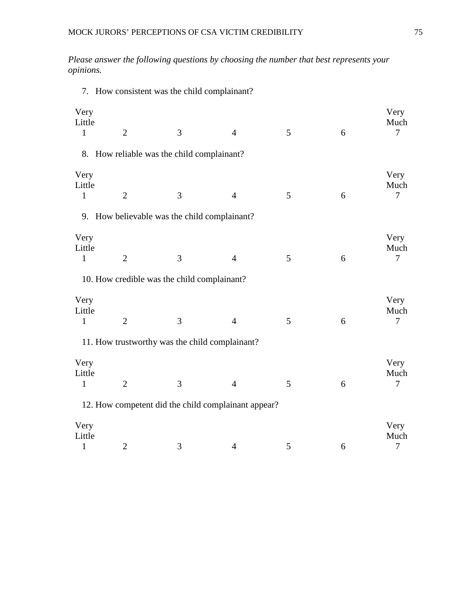7. How consistent was the child complainant?

*Please answer the following questions by choosing the number that best represents your opinions.*

| Very<br>Little<br>$\mathbf{1}$ | $\overline{2}$ | 3                                              | $\overline{4}$                                      | 5 | 6 | Very<br>Much<br>$\overline{7}$ |
|--------------------------------|----------------|------------------------------------------------|-----------------------------------------------------|---|---|--------------------------------|
|                                |                |                                                |                                                     |   |   |                                |
|                                |                | 8. How reliable was the child complainant?     |                                                     |   |   |                                |
| Very<br>Little<br>$\mathbf{1}$ | $\overline{2}$ | 3                                              | $\overline{4}$                                      | 5 | 6 | Very<br>Much<br>$\overline{7}$ |
|                                |                | 9. How believable was the child complainant?   |                                                     |   |   |                                |
| Very<br>Little<br>$\mathbf{1}$ | $\overline{2}$ | 3                                              | $\overline{4}$                                      | 5 | 6 | Very<br>Much<br>7              |
|                                |                | 10. How credible was the child complainant?    |                                                     |   |   |                                |
| Very<br>Little<br>$\mathbf{1}$ | $\overline{2}$ | 3                                              | $\overline{4}$                                      | 5 | 6 | Very<br>Much<br>$\tau$         |
|                                |                | 11. How trustworthy was the child complainant? |                                                     |   |   |                                |
| Very<br>Little<br>$\mathbf{1}$ | $\overline{2}$ | 3                                              | $\overline{4}$                                      | 5 | 6 | Very<br>Much<br>$\overline{7}$ |
|                                |                |                                                | 12. How competent did the child complainant appear? |   |   |                                |
| Very<br>Little<br>$\mathbf{1}$ | $\overline{2}$ | 3                                              | $\overline{4}$                                      | 5 | 6 | Very<br>Much<br>7              |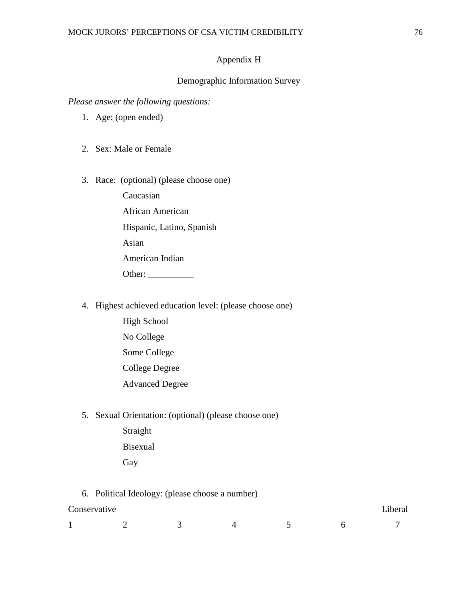## Appendix H

### Demographic Information Survey

*Please answer the following questions:*

- 1. Age: (open ended)
- 2. Sex: Male or Female
- 3. Race: (optional) (please choose one)

Caucasian African American Hispanic, Latino, Spanish Asian American Indian Other: \_\_\_\_\_\_\_\_\_\_

- 4. Highest achieved education level: (please choose one)
	- High School No College Some College College Degree Advanced Degree
- 5. Sexual Orientation: (optional) (please choose one)
	- Straight Bisexual Gay

6. Political Ideology: (please choose a number)

| Conservative |  |  | - 1<br>⊿iberal |
|--------------|--|--|----------------|
|              |  |  |                |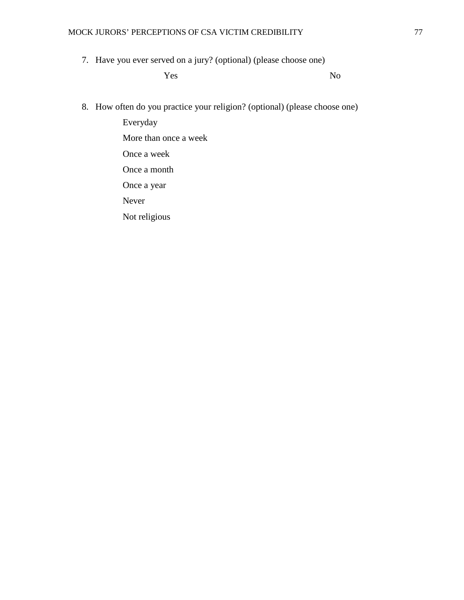7. Have you ever served on a jury? (optional) (please choose one)

Yes No

8. How often do you practice your religion? (optional) (please choose one)

Everyday More than once a week Once a week Once a month Once a year Never Not religious